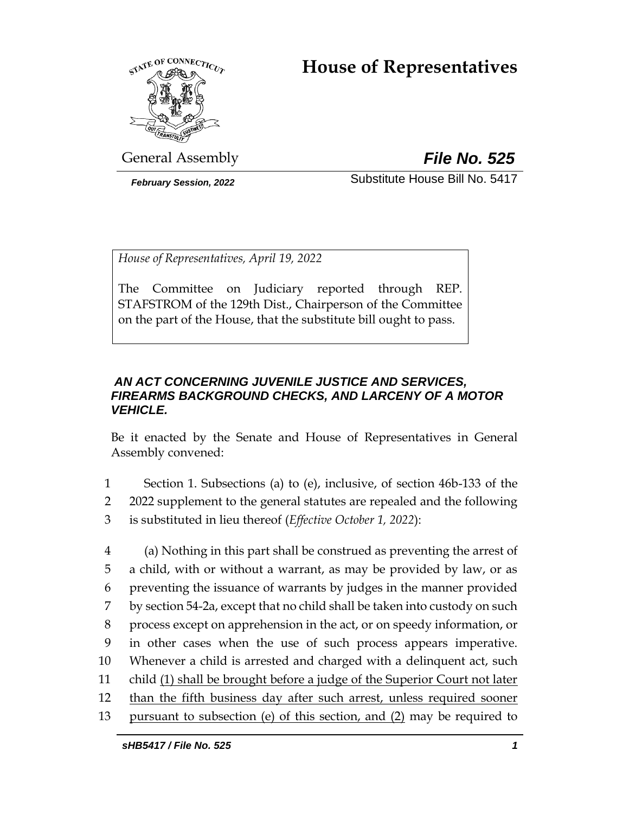# **House of Representatives**



General Assembly *File No. 525*

*February Session, 2022* Substitute House Bill No. 5417

*House of Representatives, April 19, 2022*

The Committee on Judiciary reported through REP. STAFSTROM of the 129th Dist., Chairperson of the Committee on the part of the House, that the substitute bill ought to pass.

# *AN ACT CONCERNING JUVENILE JUSTICE AND SERVICES, FIREARMS BACKGROUND CHECKS, AND LARCENY OF A MOTOR VEHICLE.*

Be it enacted by the Senate and House of Representatives in General Assembly convened:

- 1 Section 1. Subsections (a) to (e), inclusive, of section 46b-133 of the
- 2 2022 supplement to the general statutes are repealed and the following 3 is substituted in lieu thereof (*Effective October 1, 2022*):
- 4 (a) Nothing in this part shall be construed as preventing the arrest of 5 a child, with or without a warrant, as may be provided by law, or as 6 preventing the issuance of warrants by judges in the manner provided 7 by section 54-2a, except that no child shall be taken into custody on such 8 process except on apprehension in the act, or on speedy information, or 9 in other cases when the use of such process appears imperative. 10 Whenever a child is arrested and charged with a delinquent act, such 11 child (1) shall be brought before a judge of the Superior Court not later 12 than the fifth business day after such arrest, unless required sooner 13 pursuant to subsection (e) of this section, and (2) may be required to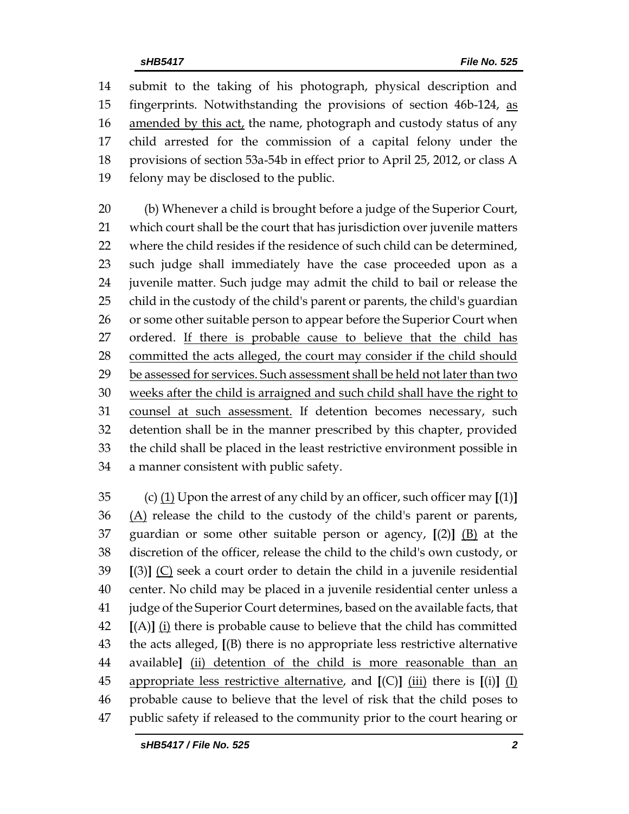submit to the taking of his photograph, physical description and fingerprints. Notwithstanding the provisions of section 46b-124, as 16 amended by this act, the name, photograph and custody status of any child arrested for the commission of a capital felony under the provisions of section 53a-54b in effect prior to April 25, 2012, or class A felony may be disclosed to the public.

 (b) Whenever a child is brought before a judge of the Superior Court, which court shall be the court that has jurisdiction over juvenile matters where the child resides if the residence of such child can be determined, such judge shall immediately have the case proceeded upon as a juvenile matter. Such judge may admit the child to bail or release the child in the custody of the child's parent or parents, the child's guardian 26 or some other suitable person to appear before the Superior Court when ordered. If there is probable cause to believe that the child has committed the acts alleged, the court may consider if the child should be assessed for services. Such assessment shall be held not later than two weeks after the child is arraigned and such child shall have the right to 31 counsel at such assessment. If detention becomes necessary, such detention shall be in the manner prescribed by this chapter, provided the child shall be placed in the least restrictive environment possible in a manner consistent with public safety.

 (c) (1) Upon the arrest of any child by an officer, such officer may **[**(1)**]** (A) release the child to the custody of the child's parent or parents, guardian or some other suitable person or agency, **[**(2)**]** (B) at the discretion of the officer, release the child to the child's own custody, or **[**(3)**]** (C) seek a court order to detain the child in a juvenile residential center. No child may be placed in a juvenile residential center unless a judge of the Superior Court determines, based on the available facts, that **[**(A)**]** (i) there is probable cause to believe that the child has committed the acts alleged, **[**(B) there is no appropriate less restrictive alternative available**]** (ii) detention of the child is more reasonable than an appropriate less restrictive alternative, and **[**(C)**]** (iii) there is **[**(i)**]** (I) probable cause to believe that the level of risk that the child poses to public safety if released to the community prior to the court hearing or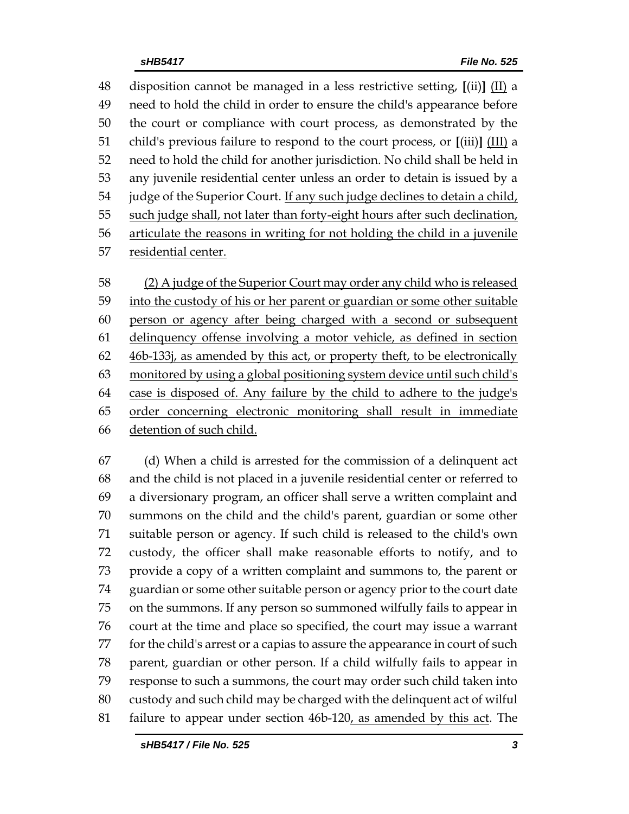disposition cannot be managed in a less restrictive setting, **[**(ii)**]** (II) a need to hold the child in order to ensure the child's appearance before the court or compliance with court process, as demonstrated by the child's previous failure to respond to the court process, or **[**(iii)**]** (III) a need to hold the child for another jurisdiction. No child shall be held in any juvenile residential center unless an order to detain is issued by a 54 judge of the Superior Court. If any such judge declines to detain a child, 55 such judge shall, not later than forty-eight hours after such declination, articulate the reasons in writing for not holding the child in a juvenile residential center.

 (2) A judge of the Superior Court may order any child who is released into the custody of his or her parent or guardian or some other suitable person or agency after being charged with a second or subsequent delinquency offense involving a motor vehicle, as defined in section 46b-133j, as amended by this act, or property theft, to be electronically monitored by using a global positioning system device until such child's case is disposed of. Any failure by the child to adhere to the judge's order concerning electronic monitoring shall result in immediate detention of such child.

 (d) When a child is arrested for the commission of a delinquent act and the child is not placed in a juvenile residential center or referred to a diversionary program, an officer shall serve a written complaint and summons on the child and the child's parent, guardian or some other suitable person or agency. If such child is released to the child's own custody, the officer shall make reasonable efforts to notify, and to provide a copy of a written complaint and summons to, the parent or guardian or some other suitable person or agency prior to the court date on the summons. If any person so summoned wilfully fails to appear in court at the time and place so specified, the court may issue a warrant for the child's arrest or a capias to assure the appearance in court of such parent, guardian or other person. If a child wilfully fails to appear in response to such a summons, the court may order such child taken into custody and such child may be charged with the delinquent act of wilful failure to appear under section 46b-120, as amended by this act. The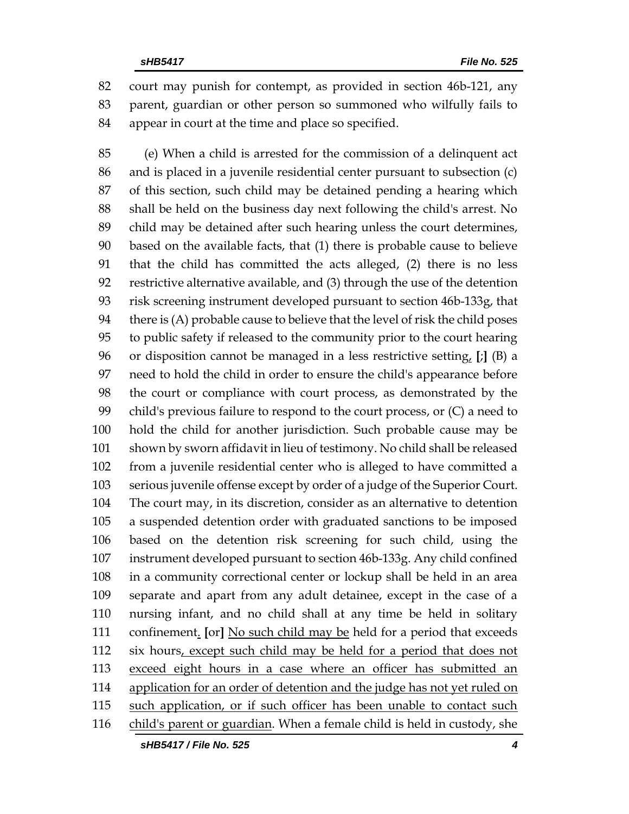court may punish for contempt, as provided in section 46b-121, any parent, guardian or other person so summoned who wilfully fails to appear in court at the time and place so specified.

 (e) When a child is arrested for the commission of a delinquent act and is placed in a juvenile residential center pursuant to subsection (c) of this section, such child may be detained pending a hearing which shall be held on the business day next following the child's arrest. No child may be detained after such hearing unless the court determines, based on the available facts, that (1) there is probable cause to believe that the child has committed the acts alleged, (2) there is no less restrictive alternative available, and (3) through the use of the detention risk screening instrument developed pursuant to section 46b-133g, that there is (A) probable cause to believe that the level of risk the child poses to public safety if released to the community prior to the court hearing or disposition cannot be managed in a less restrictive setting, **[**;**]** (B) a need to hold the child in order to ensure the child's appearance before the court or compliance with court process, as demonstrated by the child's previous failure to respond to the court process, or (C) a need to hold the child for another jurisdiction. Such probable cause may be shown by sworn affidavit in lieu of testimony. No child shall be released from a juvenile residential center who is alleged to have committed a serious juvenile offense except by order of a judge of the Superior Court. The court may, in its discretion, consider as an alternative to detention a suspended detention order with graduated sanctions to be imposed based on the detention risk screening for such child, using the instrument developed pursuant to section 46b-133g. Any child confined in a community correctional center or lockup shall be held in an area separate and apart from any adult detainee, except in the case of a nursing infant, and no child shall at any time be held in solitary confinement. **[**or**]** No such child may be held for a period that exceeds six hours, except such child may be held for a period that does not exceed eight hours in a case where an officer has submitted an 114 application for an order of detention and the judge has not yet ruled on 115 such application, or if such officer has been unable to contact such 116 child's parent or guardian. When a female child is held in custody, she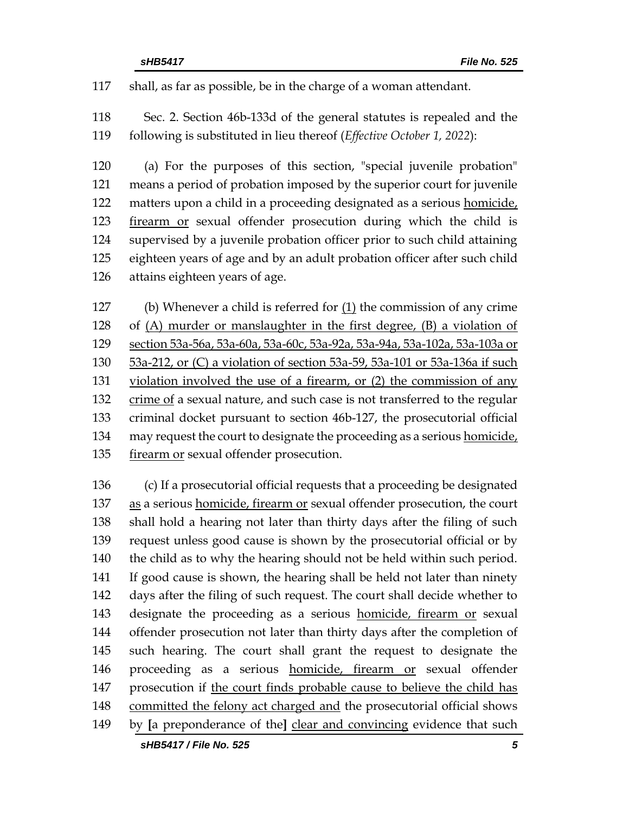shall, as far as possible, be in the charge of a woman attendant.

 Sec. 2. Section 46b-133d of the general statutes is repealed and the following is substituted in lieu thereof (*Effective October 1, 2022*):

 (a) For the purposes of this section, "special juvenile probation" means a period of probation imposed by the superior court for juvenile 122 matters upon a child in a proceeding designated as a serious homicide, firearm or sexual offender prosecution during which the child is supervised by a juvenile probation officer prior to such child attaining eighteen years of age and by an adult probation officer after such child attains eighteen years of age.

 (b) Whenever a child is referred for (1) the commission of any crime of (A) murder or manslaughter in the first degree, (B) a violation of section 53a-56a, 53a-60a, 53a-60c, 53a-92a, 53a-94a, 53a-102a, 53a-103a or 53a-212, or (C) a violation of section 53a-59, 53a-101 or 53a-136a if such violation involved the use of a firearm, or (2) the commission of any 132 crime of a sexual nature, and such case is not transferred to the regular criminal docket pursuant to section 46b-127, the prosecutorial official may request the court to designate the proceeding as a serious homicide, firearm or sexual offender prosecution.

 (c) If a prosecutorial official requests that a proceeding be designated as a serious homicide, firearm or sexual offender prosecution, the court shall hold a hearing not later than thirty days after the filing of such request unless good cause is shown by the prosecutorial official or by 140 the child as to why the hearing should not be held within such period. If good cause is shown, the hearing shall be held not later than ninety days after the filing of such request. The court shall decide whether to designate the proceeding as a serious homicide, firearm or sexual offender prosecution not later than thirty days after the completion of such hearing. The court shall grant the request to designate the proceeding as a serious homicide, firearm or sexual offender prosecution if the court finds probable cause to believe the child has 148 committed the felony act charged and the prosecutorial official shows by **[**a preponderance of the**]** clear and convincing evidence that such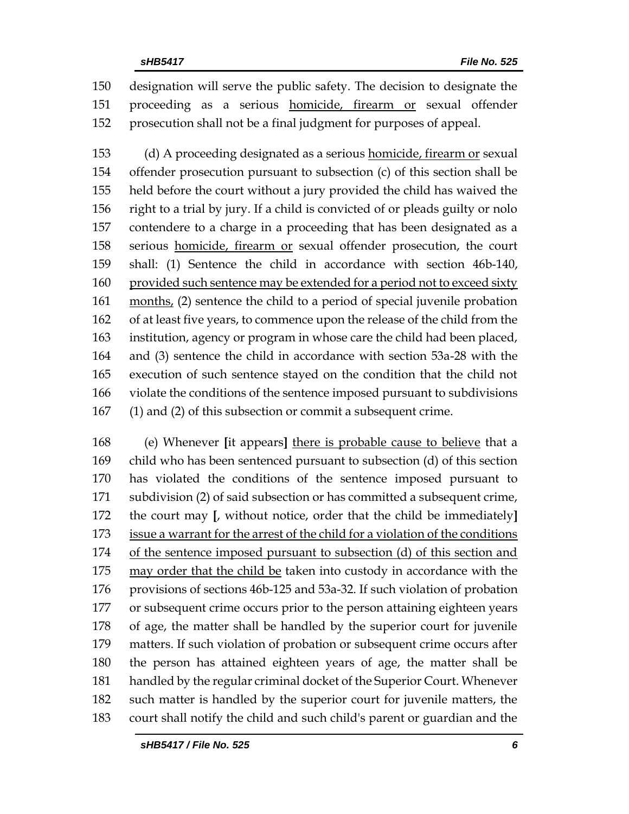designation will serve the public safety. The decision to designate the proceeding as a serious homicide, firearm or sexual offender prosecution shall not be a final judgment for purposes of appeal.

 (d) A proceeding designated as a serious homicide, firearm or sexual offender prosecution pursuant to subsection (c) of this section shall be held before the court without a jury provided the child has waived the right to a trial by jury. If a child is convicted of or pleads guilty or nolo contendere to a charge in a proceeding that has been designated as a serious homicide, firearm or sexual offender prosecution, the court shall: (1) Sentence the child in accordance with section 46b-140, 160 provided such sentence may be extended for a period not to exceed sixty months, (2) sentence the child to a period of special juvenile probation of at least five years, to commence upon the release of the child from the institution, agency or program in whose care the child had been placed, and (3) sentence the child in accordance with section 53a-28 with the execution of such sentence stayed on the condition that the child not violate the conditions of the sentence imposed pursuant to subdivisions (1) and (2) of this subsection or commit a subsequent crime.

 (e) Whenever **[**it appears**]** there is probable cause to believe that a child who has been sentenced pursuant to subsection (d) of this section has violated the conditions of the sentence imposed pursuant to subdivision (2) of said subsection or has committed a subsequent crime, the court may **[**, without notice, order that the child be immediately**]** issue a warrant for the arrest of the child for a violation of the conditions of the sentence imposed pursuant to subsection (d) of this section and may order that the child be taken into custody in accordance with the provisions of sections 46b-125 and 53a-32. If such violation of probation or subsequent crime occurs prior to the person attaining eighteen years of age, the matter shall be handled by the superior court for juvenile matters. If such violation of probation or subsequent crime occurs after the person has attained eighteen years of age, the matter shall be handled by the regular criminal docket of the Superior Court. Whenever such matter is handled by the superior court for juvenile matters, the court shall notify the child and such child's parent or guardian and the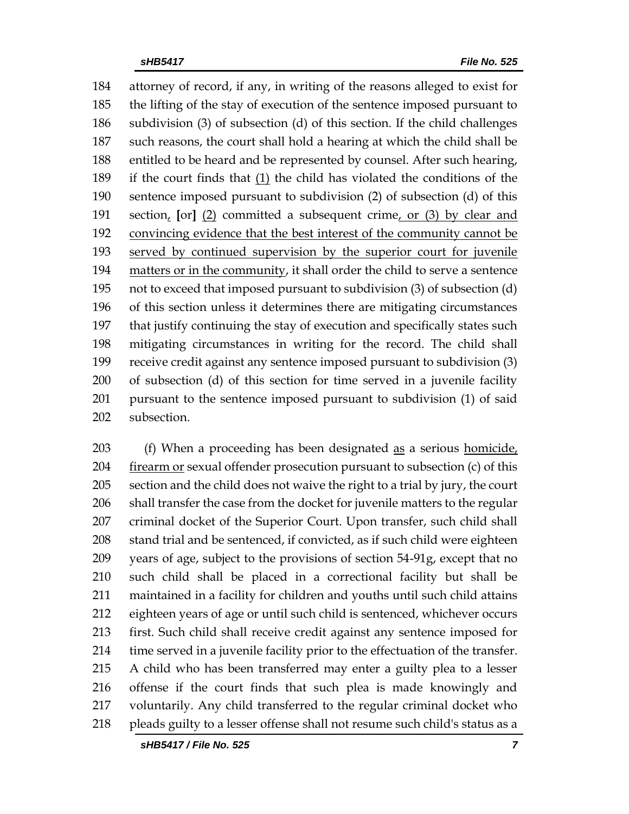attorney of record, if any, in writing of the reasons alleged to exist for the lifting of the stay of execution of the sentence imposed pursuant to subdivision (3) of subsection (d) of this section. If the child challenges such reasons, the court shall hold a hearing at which the child shall be entitled to be heard and be represented by counsel. After such hearing, 189 if the court finds that  $(1)$  the child has violated the conditions of the sentence imposed pursuant to subdivision (2) of subsection (d) of this section, **[**or**]** (2) committed a subsequent crime, or (3) by clear and convincing evidence that the best interest of the community cannot be served by continued supervision by the superior court for juvenile matters or in the community, it shall order the child to serve a sentence not to exceed that imposed pursuant to subdivision (3) of subsection (d) of this section unless it determines there are mitigating circumstances that justify continuing the stay of execution and specifically states such mitigating circumstances in writing for the record. The child shall receive credit against any sentence imposed pursuant to subdivision (3) of subsection (d) of this section for time served in a juvenile facility pursuant to the sentence imposed pursuant to subdivision (1) of said subsection.

203 (f) When a proceeding has been designated <u>as</u> a serious homicide, 204 firearm or sexual offender prosecution pursuant to subsection (c) of this section and the child does not waive the right to a trial by jury, the court shall transfer the case from the docket for juvenile matters to the regular criminal docket of the Superior Court. Upon transfer, such child shall stand trial and be sentenced, if convicted, as if such child were eighteen years of age, subject to the provisions of section 54-91g, except that no such child shall be placed in a correctional facility but shall be maintained in a facility for children and youths until such child attains eighteen years of age or until such child is sentenced, whichever occurs first. Such child shall receive credit against any sentence imposed for time served in a juvenile facility prior to the effectuation of the transfer. A child who has been transferred may enter a guilty plea to a lesser offense if the court finds that such plea is made knowingly and voluntarily. Any child transferred to the regular criminal docket who pleads guilty to a lesser offense shall not resume such child's status as a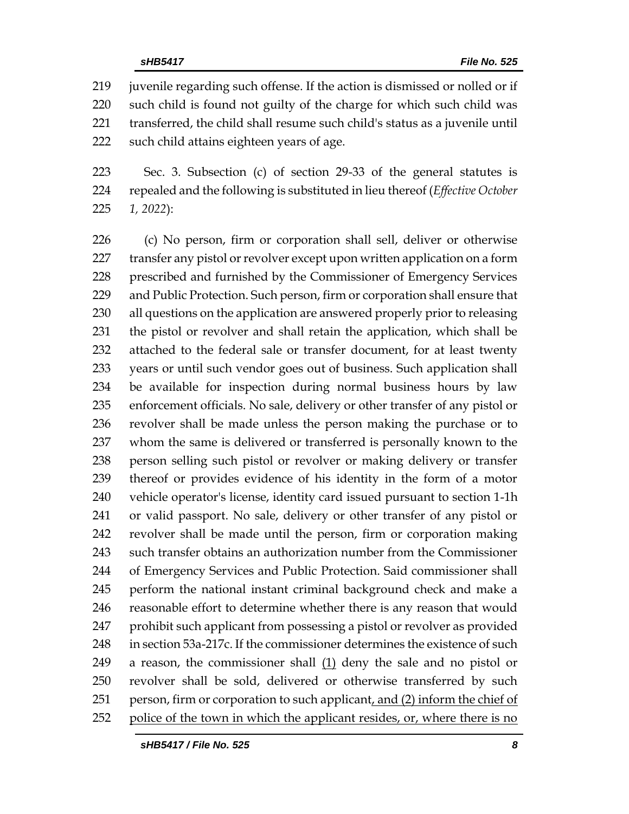juvenile regarding such offense. If the action is dismissed or nolled or if such child is found not guilty of the charge for which such child was transferred, the child shall resume such child's status as a juvenile until such child attains eighteen years of age.

 Sec. 3. Subsection (c) of section 29-33 of the general statutes is repealed and the following is substituted in lieu thereof (*Effective October 1, 2022*):

 (c) No person, firm or corporation shall sell, deliver or otherwise 227 transfer any pistol or revolver except upon written application on a form prescribed and furnished by the Commissioner of Emergency Services and Public Protection. Such person, firm or corporation shall ensure that all questions on the application are answered properly prior to releasing the pistol or revolver and shall retain the application, which shall be attached to the federal sale or transfer document, for at least twenty years or until such vendor goes out of business. Such application shall be available for inspection during normal business hours by law enforcement officials. No sale, delivery or other transfer of any pistol or revolver shall be made unless the person making the purchase or to whom the same is delivered or transferred is personally known to the person selling such pistol or revolver or making delivery or transfer thereof or provides evidence of his identity in the form of a motor vehicle operator's license, identity card issued pursuant to section 1-1h or valid passport. No sale, delivery or other transfer of any pistol or revolver shall be made until the person, firm or corporation making such transfer obtains an authorization number from the Commissioner of Emergency Services and Public Protection. Said commissioner shall perform the national instant criminal background check and make a reasonable effort to determine whether there is any reason that would prohibit such applicant from possessing a pistol or revolver as provided in section 53a-217c. If the commissioner determines the existence of such 249 a reason, the commissioner shall  $(1)$  deny the sale and no pistol or revolver shall be sold, delivered or otherwise transferred by such 251 person, firm or corporation to such applicant, and (2) inform the chief of police of the town in which the applicant resides, or, where there is no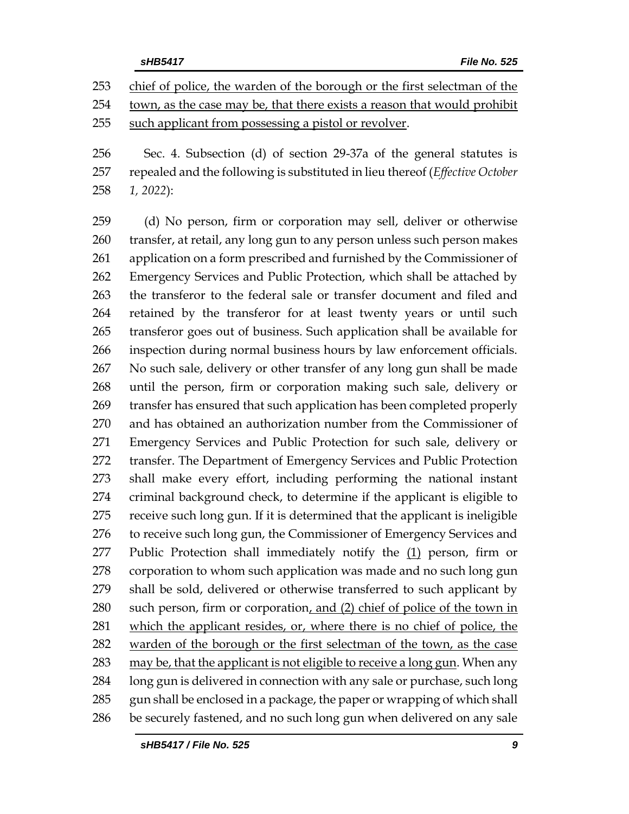Sec. 4. Subsection (d) of section 29-37a of the general statutes is repealed and the following is substituted in lieu thereof (*Effective October 1, 2022*):

 (d) No person, firm or corporation may sell, deliver or otherwise transfer, at retail, any long gun to any person unless such person makes application on a form prescribed and furnished by the Commissioner of Emergency Services and Public Protection, which shall be attached by the transferor to the federal sale or transfer document and filed and retained by the transferor for at least twenty years or until such transferor goes out of business. Such application shall be available for inspection during normal business hours by law enforcement officials. No such sale, delivery or other transfer of any long gun shall be made until the person, firm or corporation making such sale, delivery or transfer has ensured that such application has been completed properly and has obtained an authorization number from the Commissioner of Emergency Services and Public Protection for such sale, delivery or transfer. The Department of Emergency Services and Public Protection shall make every effort, including performing the national instant criminal background check, to determine if the applicant is eligible to receive such long gun. If it is determined that the applicant is ineligible 276 to receive such long gun, the Commissioner of Emergency Services and 277 Public Protection shall immediately notify the (1) person, firm or corporation to whom such application was made and no such long gun shall be sold, delivered or otherwise transferred to such applicant by 280 such person, firm or corporation, and (2) chief of police of the town in which the applicant resides, or, where there is no chief of police, the warden of the borough or the first selectman of the town, as the case may be, that the applicant is not eligible to receive a long gun. When any long gun is delivered in connection with any sale or purchase, such long 285 gun shall be enclosed in a package, the paper or wrapping of which shall be securely fastened, and no such long gun when delivered on any sale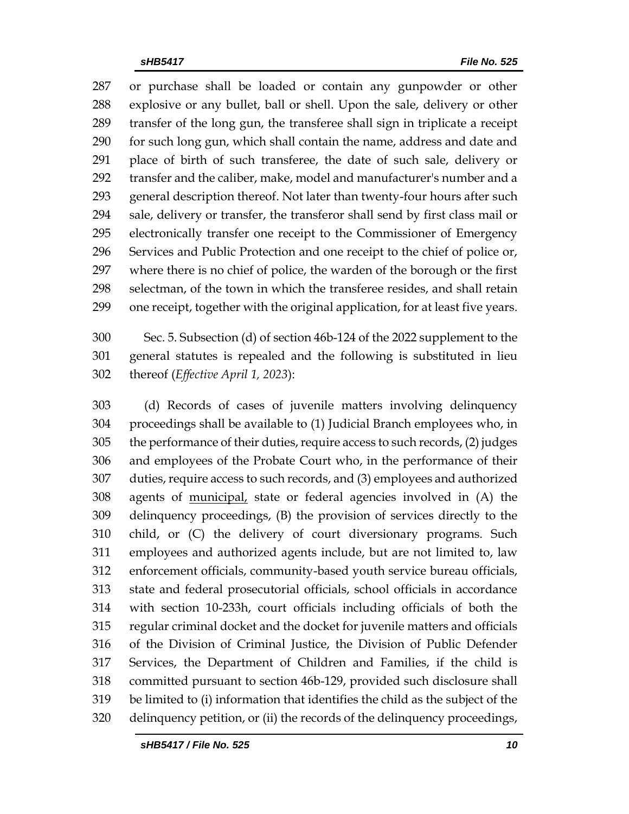or purchase shall be loaded or contain any gunpowder or other explosive or any bullet, ball or shell. Upon the sale, delivery or other transfer of the long gun, the transferee shall sign in triplicate a receipt for such long gun, which shall contain the name, address and date and place of birth of such transferee, the date of such sale, delivery or transfer and the caliber, make, model and manufacturer's number and a general description thereof. Not later than twenty-four hours after such sale, delivery or transfer, the transferor shall send by first class mail or electronically transfer one receipt to the Commissioner of Emergency Services and Public Protection and one receipt to the chief of police or, where there is no chief of police, the warden of the borough or the first selectman, of the town in which the transferee resides, and shall retain one receipt, together with the original application, for at least five years.

 Sec. 5. Subsection (d) of section 46b-124 of the 2022 supplement to the general statutes is repealed and the following is substituted in lieu thereof (*Effective April 1, 2023*):

 (d) Records of cases of juvenile matters involving delinquency proceedings shall be available to (1) Judicial Branch employees who, in the performance of their duties, require access to such records, (2) judges and employees of the Probate Court who, in the performance of their duties, require access to such records, and (3) employees and authorized agents of municipal, state or federal agencies involved in (A) the delinquency proceedings, (B) the provision of services directly to the child, or (C) the delivery of court diversionary programs. Such employees and authorized agents include, but are not limited to, law enforcement officials, community-based youth service bureau officials, state and federal prosecutorial officials, school officials in accordance with section 10-233h, court officials including officials of both the regular criminal docket and the docket for juvenile matters and officials of the Division of Criminal Justice, the Division of Public Defender Services, the Department of Children and Families, if the child is committed pursuant to section 46b-129, provided such disclosure shall be limited to (i) information that identifies the child as the subject of the delinquency petition, or (ii) the records of the delinquency proceedings,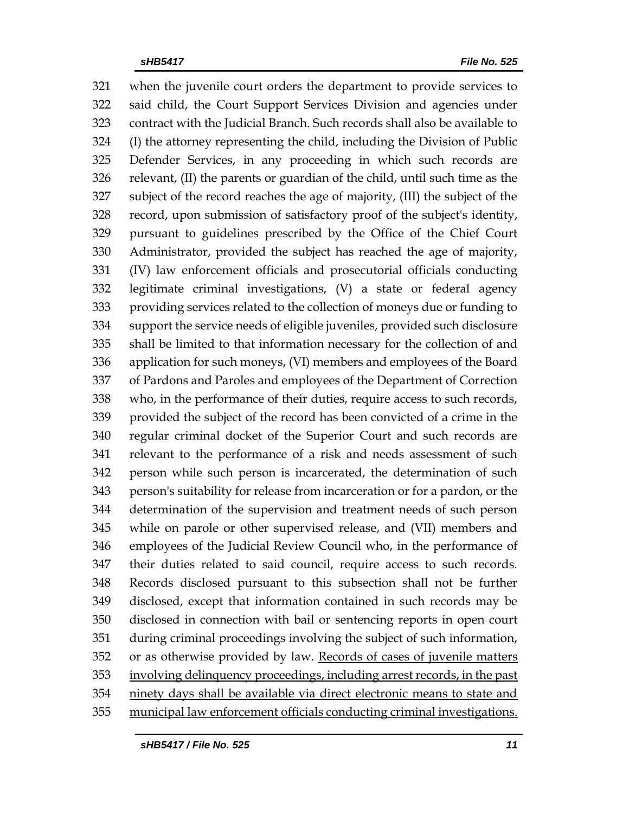when the juvenile court orders the department to provide services to said child, the Court Support Services Division and agencies under contract with the Judicial Branch. Such records shall also be available to (I) the attorney representing the child, including the Division of Public Defender Services, in any proceeding in which such records are relevant, (II) the parents or guardian of the child, until such time as the subject of the record reaches the age of majority, (III) the subject of the record, upon submission of satisfactory proof of the subject's identity, pursuant to guidelines prescribed by the Office of the Chief Court Administrator, provided the subject has reached the age of majority, (IV) law enforcement officials and prosecutorial officials conducting legitimate criminal investigations, (V) a state or federal agency providing services related to the collection of moneys due or funding to support the service needs of eligible juveniles, provided such disclosure shall be limited to that information necessary for the collection of and application for such moneys, (VI) members and employees of the Board of Pardons and Paroles and employees of the Department of Correction who, in the performance of their duties, require access to such records, provided the subject of the record has been convicted of a crime in the regular criminal docket of the Superior Court and such records are relevant to the performance of a risk and needs assessment of such person while such person is incarcerated, the determination of such person's suitability for release from incarceration or for a pardon, or the determination of the supervision and treatment needs of such person while on parole or other supervised release, and (VII) members and employees of the Judicial Review Council who, in the performance of their duties related to said council, require access to such records. Records disclosed pursuant to this subsection shall not be further disclosed, except that information contained in such records may be disclosed in connection with bail or sentencing reports in open court during criminal proceedings involving the subject of such information, or as otherwise provided by law. Records of cases of juvenile matters involving delinquency proceedings, including arrest records, in the past ninety days shall be available via direct electronic means to state and municipal law enforcement officials conducting criminal investigations.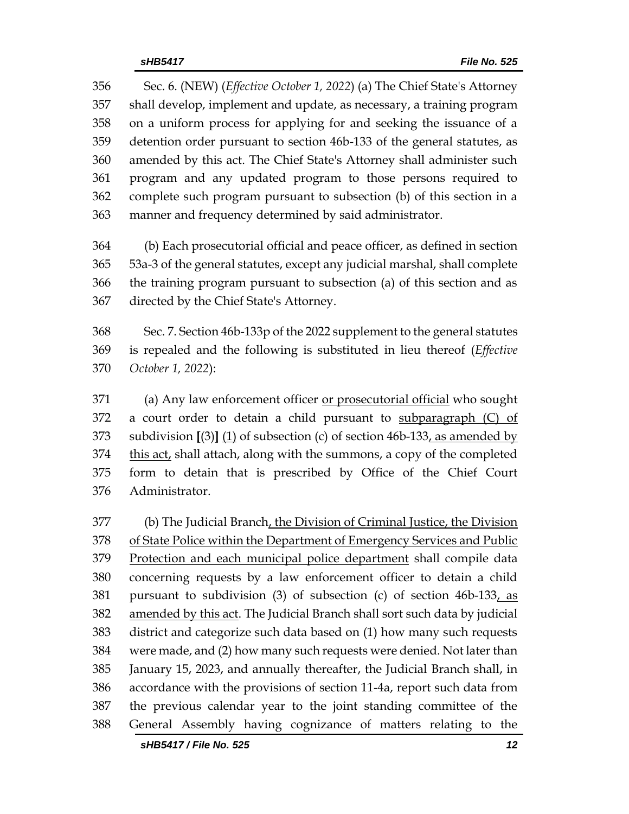Sec. 6. (NEW) (*Effective October 1, 2022*) (a) The Chief State's Attorney shall develop, implement and update, as necessary, a training program on a uniform process for applying for and seeking the issuance of a detention order pursuant to section 46b-133 of the general statutes, as amended by this act. The Chief State's Attorney shall administer such program and any updated program to those persons required to complete such program pursuant to subsection (b) of this section in a manner and frequency determined by said administrator.

 (b) Each prosecutorial official and peace officer, as defined in section 53a-3 of the general statutes, except any judicial marshal, shall complete the training program pursuant to subsection (a) of this section and as directed by the Chief State's Attorney.

 Sec. 7. Section 46b-133p of the 2022 supplement to the general statutes is repealed and the following is substituted in lieu thereof (*Effective October 1, 2022*):

 (a) Any law enforcement officer or prosecutorial official who sought 372 a court order to detain a child pursuant to subparagraph  $(C)$  of subdivision **[**(3)**]** (1) of subsection (c) of section 46b-133, as amended by this act, shall attach, along with the summons, a copy of the completed form to detain that is prescribed by Office of the Chief Court Administrator.

 (b) The Judicial Branch, the Division of Criminal Justice, the Division of State Police within the Department of Emergency Services and Public 379 Protection and each municipal police department shall compile data concerning requests by a law enforcement officer to detain a child pursuant to subdivision (3) of subsection (c) of section 46b-133, as amended by this act. The Judicial Branch shall sort such data by judicial district and categorize such data based on (1) how many such requests were made, and (2) how many such requests were denied. Not later than January 15, 2023, and annually thereafter, the Judicial Branch shall, in accordance with the provisions of section 11-4a, report such data from the previous calendar year to the joint standing committee of the General Assembly having cognizance of matters relating to the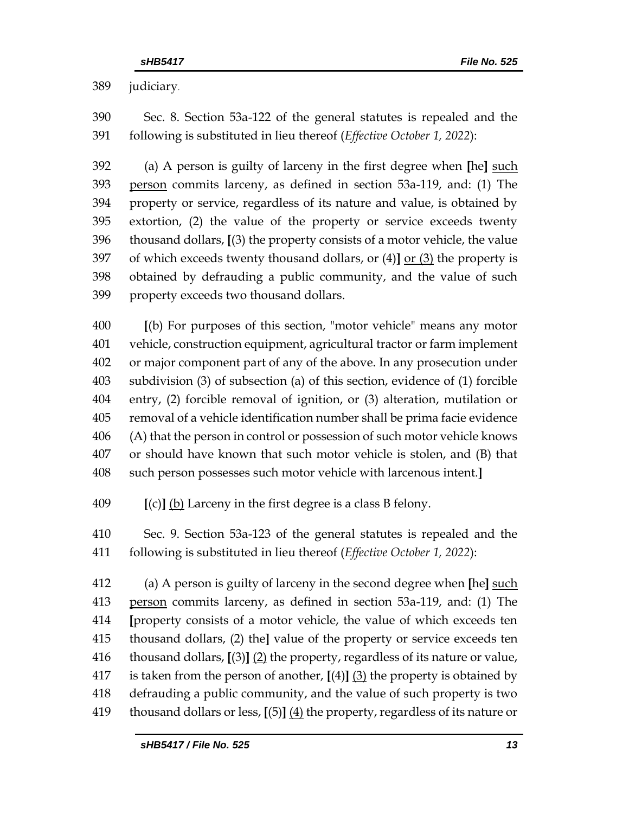judiciary.

 Sec. 8. Section 53a-122 of the general statutes is repealed and the following is substituted in lieu thereof (*Effective October 1, 2022*):

 (a) A person is guilty of larceny in the first degree when **[**he**]** such person commits larceny, as defined in section 53a-119, and: (1) The property or service, regardless of its nature and value, is obtained by extortion, (2) the value of the property or service exceeds twenty thousand dollars, **[**(3) the property consists of a motor vehicle, the value of which exceeds twenty thousand dollars, or (4)**]** or (3) the property is obtained by defrauding a public community, and the value of such property exceeds two thousand dollars.

 **[**(b) For purposes of this section, "motor vehicle" means any motor vehicle, construction equipment, agricultural tractor or farm implement or major component part of any of the above. In any prosecution under subdivision (3) of subsection (a) of this section, evidence of (1) forcible entry, (2) forcible removal of ignition, or (3) alteration, mutilation or removal of a vehicle identification number shall be prima facie evidence (A) that the person in control or possession of such motor vehicle knows or should have known that such motor vehicle is stolen, and (B) that such person possesses such motor vehicle with larcenous intent.**]**

**[**(c)**]** (b) Larceny in the first degree is a class B felony.

 Sec. 9. Section 53a-123 of the general statutes is repealed and the following is substituted in lieu thereof (*Effective October 1, 2022*):

 (a) A person is guilty of larceny in the second degree when **[**he**]** such person commits larceny, as defined in section 53a-119, and: (1) The **[**property consists of a motor vehicle, the value of which exceeds ten thousand dollars, (2) the**]** value of the property or service exceeds ten thousand dollars, **[**(3)**]** (2) the property, regardless of its nature or value, is taken from the person of another, **[**(4)**]** (3) the property is obtained by defrauding a public community, and the value of such property is two thousand dollars or less, **[**(5)**]** (4) the property, regardless of its nature or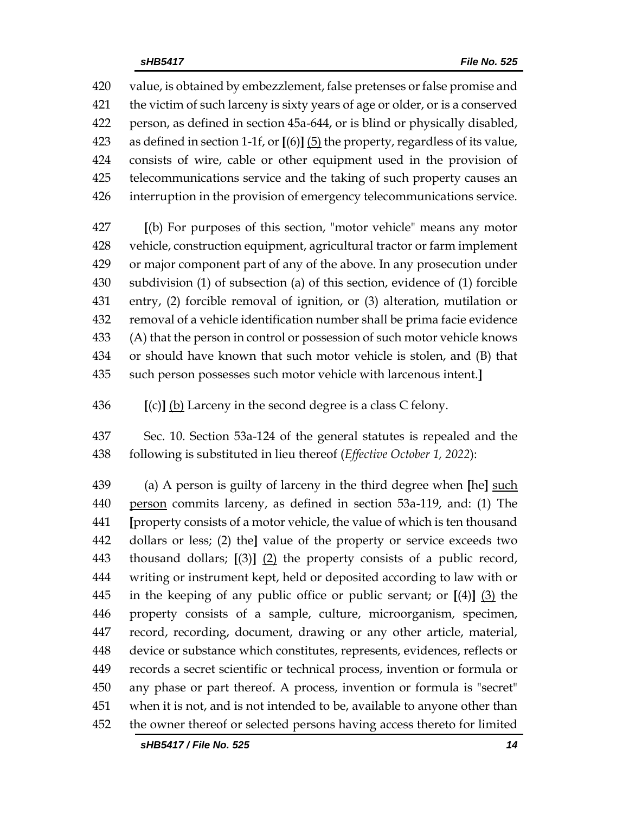value, is obtained by embezzlement, false pretenses or false promise and the victim of such larceny is sixty years of age or older, or is a conserved person, as defined in section 45a-644, or is blind or physically disabled, as defined in section 1-1f, or **[**(6)**]** (5) the property, regardless of its value, consists of wire, cable or other equipment used in the provision of telecommunications service and the taking of such property causes an interruption in the provision of emergency telecommunications service. **[**(b) For purposes of this section, "motor vehicle" means any motor

 vehicle, construction equipment, agricultural tractor or farm implement or major component part of any of the above. In any prosecution under subdivision (1) of subsection (a) of this section, evidence of (1) forcible entry, (2) forcible removal of ignition, or (3) alteration, mutilation or removal of a vehicle identification number shall be prima facie evidence (A) that the person in control or possession of such motor vehicle knows or should have known that such motor vehicle is stolen, and (B) that such person possesses such motor vehicle with larcenous intent.**]**

**[**(c)**]** (b) Larceny in the second degree is a class C felony.

 Sec. 10. Section 53a-124 of the general statutes is repealed and the following is substituted in lieu thereof (*Effective October 1, 2022*):

 (a) A person is guilty of larceny in the third degree when **[**he**]** such person commits larceny, as defined in section 53a-119, and: (1) The **[**property consists of a motor vehicle, the value of which is ten thousand dollars or less; (2) the**]** value of the property or service exceeds two thousand dollars; **[**(3)**]** (2) the property consists of a public record, writing or instrument kept, held or deposited according to law with or in the keeping of any public office or public servant; or **[**(4)**]** (3) the property consists of a sample, culture, microorganism, specimen, record, recording, document, drawing or any other article, material, device or substance which constitutes, represents, evidences, reflects or records a secret scientific or technical process, invention or formula or any phase or part thereof. A process, invention or formula is "secret" when it is not, and is not intended to be, available to anyone other than the owner thereof or selected persons having access thereto for limited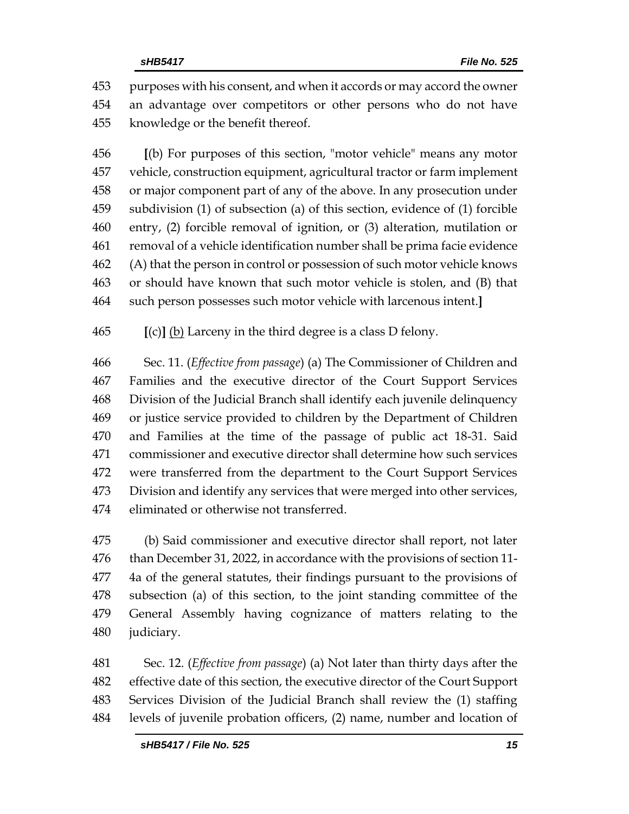purposes with his consent, and when it accords or may accord the owner an advantage over competitors or other persons who do not have knowledge or the benefit thereof.

 **[**(b) For purposes of this section, "motor vehicle" means any motor vehicle, construction equipment, agricultural tractor or farm implement or major component part of any of the above. In any prosecution under subdivision (1) of subsection (a) of this section, evidence of (1) forcible entry, (2) forcible removal of ignition, or (3) alteration, mutilation or removal of a vehicle identification number shall be prima facie evidence (A) that the person in control or possession of such motor vehicle knows or should have known that such motor vehicle is stolen, and (B) that such person possesses such motor vehicle with larcenous intent.**]**

**[**(c)**]** (b) Larceny in the third degree is a class D felony.

 Sec. 11. (*Effective from passage*) (a) The Commissioner of Children and Families and the executive director of the Court Support Services Division of the Judicial Branch shall identify each juvenile delinquency or justice service provided to children by the Department of Children and Families at the time of the passage of public act 18-31. Said commissioner and executive director shall determine how such services were transferred from the department to the Court Support Services Division and identify any services that were merged into other services, eliminated or otherwise not transferred.

 (b) Said commissioner and executive director shall report, not later than December 31, 2022, in accordance with the provisions of section 11- 4a of the general statutes, their findings pursuant to the provisions of subsection (a) of this section, to the joint standing committee of the General Assembly having cognizance of matters relating to the judiciary.

 Sec. 12. (*Effective from passage*) (a) Not later than thirty days after the effective date of this section, the executive director of the Court Support Services Division of the Judicial Branch shall review the (1) staffing levels of juvenile probation officers, (2) name, number and location of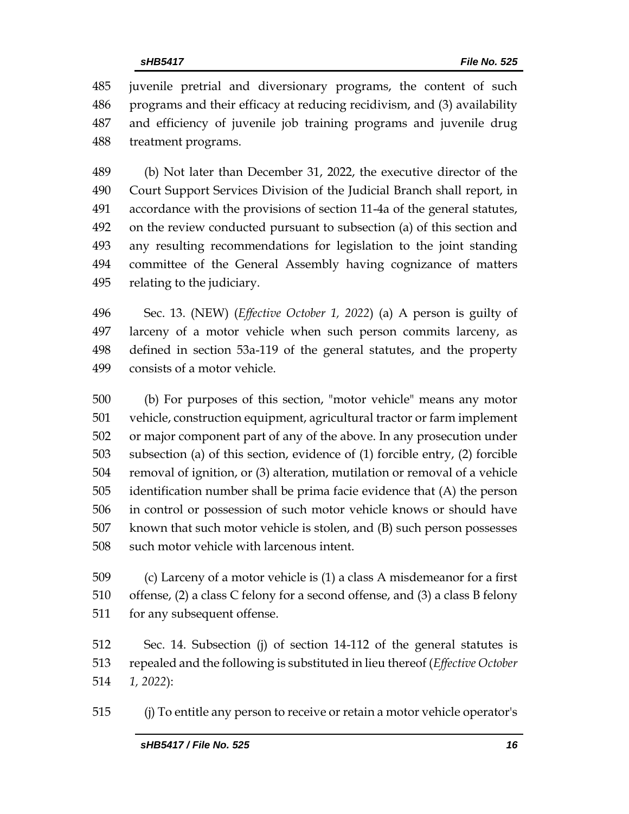juvenile pretrial and diversionary programs, the content of such programs and their efficacy at reducing recidivism, and (3) availability and efficiency of juvenile job training programs and juvenile drug treatment programs.

 (b) Not later than December 31, 2022, the executive director of the Court Support Services Division of the Judicial Branch shall report, in accordance with the provisions of section 11-4a of the general statutes, on the review conducted pursuant to subsection (a) of this section and any resulting recommendations for legislation to the joint standing committee of the General Assembly having cognizance of matters relating to the judiciary.

 Sec. 13. (NEW) (*Effective October 1, 2022*) (a) A person is guilty of larceny of a motor vehicle when such person commits larceny, as defined in section 53a-119 of the general statutes, and the property consists of a motor vehicle.

 (b) For purposes of this section, "motor vehicle" means any motor vehicle, construction equipment, agricultural tractor or farm implement or major component part of any of the above. In any prosecution under subsection (a) of this section, evidence of (1) forcible entry, (2) forcible removal of ignition, or (3) alteration, mutilation or removal of a vehicle identification number shall be prima facie evidence that (A) the person in control or possession of such motor vehicle knows or should have known that such motor vehicle is stolen, and (B) such person possesses such motor vehicle with larcenous intent.

 (c) Larceny of a motor vehicle is (1) a class A misdemeanor for a first offense, (2) a class C felony for a second offense, and (3) a class B felony for any subsequent offense.

 Sec. 14. Subsection (j) of section 14-112 of the general statutes is repealed and the following is substituted in lieu thereof (*Effective October 1, 2022*):

(j) To entitle any person to receive or retain a motor vehicle operator's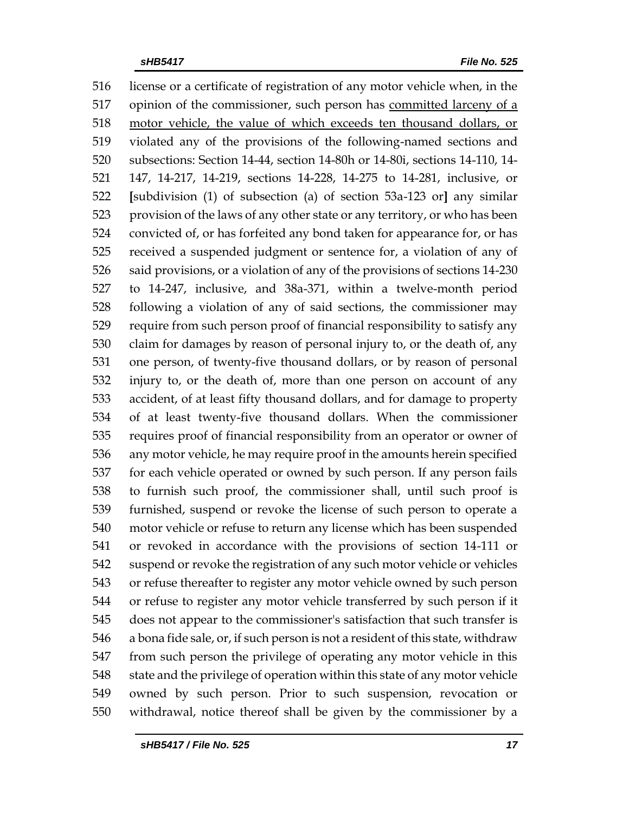license or a certificate of registration of any motor vehicle when, in the opinion of the commissioner, such person has committed larceny of a motor vehicle, the value of which exceeds ten thousand dollars, or violated any of the provisions of the following-named sections and subsections: Section 14-44, section 14-80h or 14-80i, sections 14-110, 14- 147, 14-217, 14-219, sections 14-228, 14-275 to 14-281, inclusive, or **[**subdivision (1) of subsection (a) of section 53a-123 or**]** any similar provision of the laws of any other state or any territory, or who has been convicted of, or has forfeited any bond taken for appearance for, or has received a suspended judgment or sentence for, a violation of any of said provisions, or a violation of any of the provisions of sections 14-230 to 14-247, inclusive, and 38a-371, within a twelve-month period following a violation of any of said sections, the commissioner may require from such person proof of financial responsibility to satisfy any claim for damages by reason of personal injury to, or the death of, any one person, of twenty-five thousand dollars, or by reason of personal injury to, or the death of, more than one person on account of any accident, of at least fifty thousand dollars, and for damage to property of at least twenty-five thousand dollars. When the commissioner requires proof of financial responsibility from an operator or owner of any motor vehicle, he may require proof in the amounts herein specified for each vehicle operated or owned by such person. If any person fails to furnish such proof, the commissioner shall, until such proof is furnished, suspend or revoke the license of such person to operate a motor vehicle or refuse to return any license which has been suspended or revoked in accordance with the provisions of section 14-111 or suspend or revoke the registration of any such motor vehicle or vehicles or refuse thereafter to register any motor vehicle owned by such person or refuse to register any motor vehicle transferred by such person if it does not appear to the commissioner's satisfaction that such transfer is a bona fide sale, or, if such person is not a resident of this state, withdraw from such person the privilege of operating any motor vehicle in this state and the privilege of operation within this state of any motor vehicle owned by such person. Prior to such suspension, revocation or withdrawal, notice thereof shall be given by the commissioner by a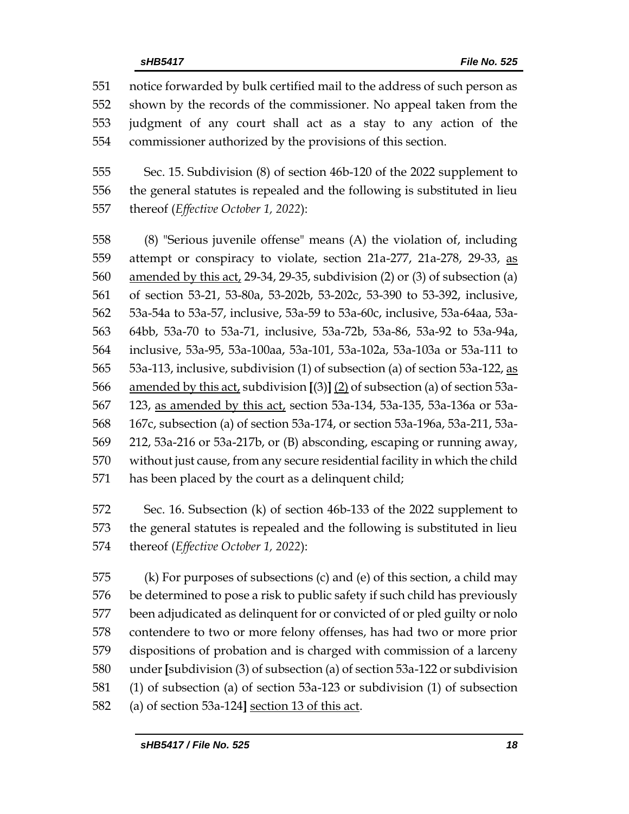notice forwarded by bulk certified mail to the address of such person as shown by the records of the commissioner. No appeal taken from the judgment of any court shall act as a stay to any action of the commissioner authorized by the provisions of this section.

 Sec. 15. Subdivision (8) of section 46b-120 of the 2022 supplement to the general statutes is repealed and the following is substituted in lieu thereof (*Effective October 1, 2022*):

 (8) "Serious juvenile offense" means (A) the violation of, including attempt or conspiracy to violate, section 21a-277, 21a-278, 29-33, as amended by this act, 29-34, 29-35, subdivision (2) or (3) of subsection (a) of section 53-21, 53-80a, 53-202b, 53-202c, 53-390 to 53-392, inclusive, 53a-54a to 53a-57, inclusive, 53a-59 to 53a-60c, inclusive, 53a-64aa, 53a- 64bb, 53a-70 to 53a-71, inclusive, 53a-72b, 53a-86, 53a-92 to 53a-94a, inclusive, 53a-95, 53a-100aa, 53a-101, 53a-102a, 53a-103a or 53a-111 to 53a-113, inclusive, subdivision (1) of subsection (a) of section 53a-122, as amended by this act, subdivision **[**(3)**]** (2) of subsection (a) of section 53a- 123, as amended by this act, section 53a-134, 53a-135, 53a-136a or 53a- 167c, subsection (a) of section 53a-174, or section 53a-196a, 53a-211, 53a- 212, 53a-216 or 53a-217b, or (B) absconding, escaping or running away, without just cause, from any secure residential facility in which the child has been placed by the court as a delinquent child;

 Sec. 16. Subsection (k) of section 46b-133 of the 2022 supplement to the general statutes is repealed and the following is substituted in lieu thereof (*Effective October 1, 2022*):

 (k) For purposes of subsections (c) and (e) of this section, a child may be determined to pose a risk to public safety if such child has previously been adjudicated as delinquent for or convicted of or pled guilty or nolo contendere to two or more felony offenses, has had two or more prior dispositions of probation and is charged with commission of a larceny under **[**subdivision (3) of subsection (a) of section 53a-122 or subdivision (1) of subsection (a) of section 53a-123 or subdivision (1) of subsection (a) of section 53a-124**]** section 13 of this act.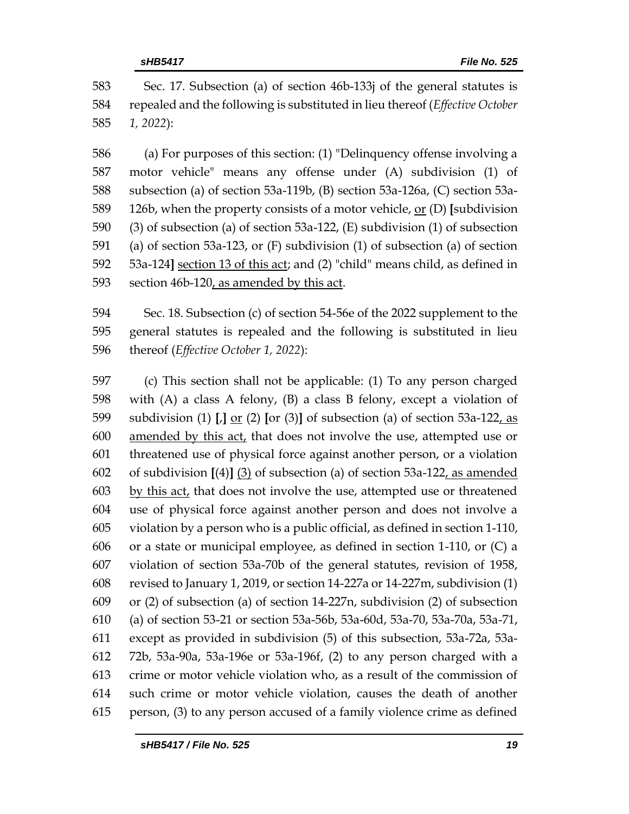Sec. 17. Subsection (a) of section 46b-133j of the general statutes is repealed and the following is substituted in lieu thereof (*Effective October 1, 2022*):

 (a) For purposes of this section: (1) "Delinquency offense involving a motor vehicle" means any offense under (A) subdivision (1) of subsection (a) of section 53a-119b, (B) section 53a-126a, (C) section 53a- 126b, when the property consists of a motor vehicle, or (D) **[**subdivision (3) of subsection (a) of section 53a-122, (E) subdivision (1) of subsection (a) of section 53a-123, or (F) subdivision (1) of subsection (a) of section 53a-124**]** section 13 of this act; and (2) "child" means child, as defined in section 46b-120, as amended by this act.

 Sec. 18. Subsection (c) of section 54-56e of the 2022 supplement to the general statutes is repealed and the following is substituted in lieu thereof (*Effective October 1, 2022*):

 (c) This section shall not be applicable: (1) To any person charged with (A) a class A felony, (B) a class B felony, except a violation of subdivision (1) **[**,**]** or (2) **[**or (3)**]** of subsection (a) of section 53a-122, as amended by this act, that does not involve the use, attempted use or threatened use of physical force against another person, or a violation of subdivision **[**(4)**]** (3) of subsection (a) of section 53a-122, as amended 603 by this act, that does not involve the use, attempted use or threatened use of physical force against another person and does not involve a violation by a person who is a public official, as defined in section 1-110, or a state or municipal employee, as defined in section 1-110, or (C) a violation of section 53a-70b of the general statutes, revision of 1958, revised to January 1, 2019, or section 14-227a or 14-227m, subdivision (1) or (2) of subsection (a) of section 14-227n, subdivision (2) of subsection (a) of section 53-21 or section 53a-56b, 53a-60d, 53a-70, 53a-70a, 53a-71, except as provided in subdivision (5) of this subsection, 53a-72a, 53a- 72b, 53a-90a, 53a-196e or 53a-196f, (2) to any person charged with a crime or motor vehicle violation who, as a result of the commission of such crime or motor vehicle violation, causes the death of another person, (3) to any person accused of a family violence crime as defined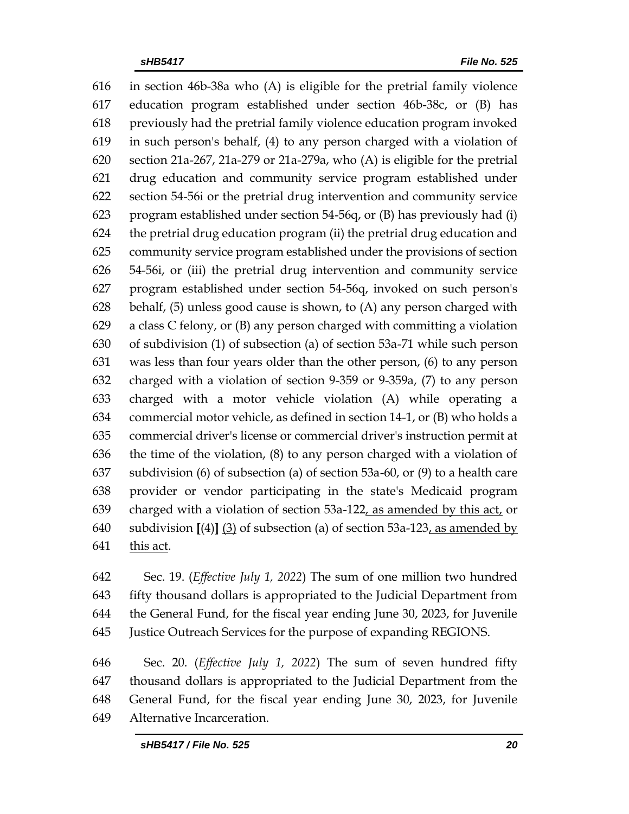in section 46b-38a who (A) is eligible for the pretrial family violence education program established under section 46b-38c, or (B) has previously had the pretrial family violence education program invoked in such person's behalf, (4) to any person charged with a violation of section 21a-267, 21a-279 or 21a-279a, who (A) is eligible for the pretrial drug education and community service program established under section 54-56i or the pretrial drug intervention and community service program established under section 54-56q, or (B) has previously had (i) the pretrial drug education program (ii) the pretrial drug education and community service program established under the provisions of section 54-56i, or (iii) the pretrial drug intervention and community service program established under section 54-56q, invoked on such person's behalf, (5) unless good cause is shown, to (A) any person charged with a class C felony, or (B) any person charged with committing a violation of subdivision (1) of subsection (a) of section 53a-71 while such person was less than four years older than the other person, (6) to any person charged with a violation of section 9-359 or 9-359a, (7) to any person charged with a motor vehicle violation (A) while operating a commercial motor vehicle, as defined in section 14-1, or (B) who holds a commercial driver's license or commercial driver's instruction permit at the time of the violation, (8) to any person charged with a violation of subdivision (6) of subsection (a) of section 53a-60, or (9) to a health care provider or vendor participating in the state's Medicaid program charged with a violation of section 53a-122, as amended by this act, or subdivision **[**(4)**]** (3) of subsection (a) of section 53a-123, as amended by this act.

 Sec. 19. (*Effective July 1, 2022*) The sum of one million two hundred fifty thousand dollars is appropriated to the Judicial Department from the General Fund, for the fiscal year ending June 30, 2023, for Juvenile Justice Outreach Services for the purpose of expanding REGIONS.

 Sec. 20. (*Effective July 1, 2022*) The sum of seven hundred fifty thousand dollars is appropriated to the Judicial Department from the General Fund, for the fiscal year ending June 30, 2023, for Juvenile Alternative Incarceration.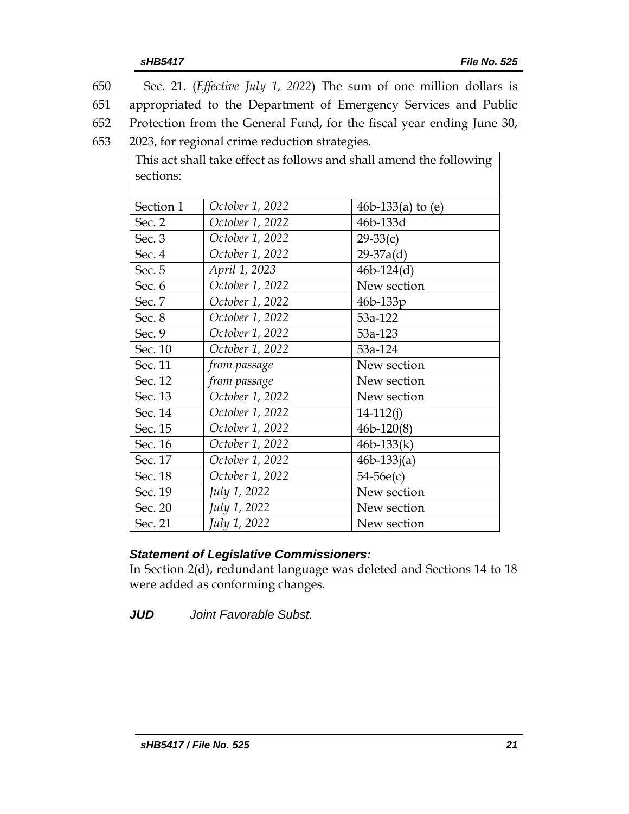| 650       |                                                | Sec. 21. ( <i>Effective July 1, 2022</i> ) The sum of one million dollars is |
|-----------|------------------------------------------------|------------------------------------------------------------------------------|
| 651       |                                                | appropriated to the Department of Emergency Services and Public              |
| 652       |                                                | Protection from the General Fund, for the fiscal year ending June 30,        |
| 653       | 2023, for regional crime reduction strategies. |                                                                              |
|           |                                                | This act shall take effect as follows and shall amend the following          |
| sections: |                                                |                                                                              |
|           |                                                |                                                                              |
| Section 1 | October 1, 2022                                | 46b-133(a) to $(e)$                                                          |
| Sec. 2    | October 1, 2022                                | 46b-133d                                                                     |
| Sec. 3    | October 1, 2022                                | $29-33(c)$                                                                   |
| Sec. 4    | October 1, 2022                                | $29-37a(d)$                                                                  |
| Sec. 5    | April 1, 2023                                  | $46b-124(d)$                                                                 |
| Sec. 6    | October 1, 2022                                | New section                                                                  |
| Sec. 7    | October 1, 2022                                | 46b-133p                                                                     |
| Sec. 8    | October 1, 2022                                | 53a-122                                                                      |
| Sec. 9    | October 1, 2022                                | 53a-123                                                                      |
| Sec. 10   | October 1, 2022                                | 53a-124                                                                      |
| Sec. 11   | from passage                                   | New section                                                                  |
| Sec. 12   | from passage                                   | New section                                                                  |
| Sec. 13   | October 1, 2022                                | New section                                                                  |
| Sec. 14   | October 1, 2022                                | $14-112(i)$                                                                  |
| Sec. 15   | October 1, 2022                                | $46b - 120(8)$                                                               |
| Sec. 16   | October 1, 2022                                | $46b-133(k)$                                                                 |
| Sec. 17   | October 1, 2022                                | $46b - 133j(a)$                                                              |
| Sec. 18   | October 1, 2022                                | $54-56e(c)$                                                                  |
| Sec. 19   | July 1, 2022                                   | New section                                                                  |
| Sec. 20   | July 1, 2022                                   | New section                                                                  |
| Sec. 21   | July 1, 2022                                   | New section                                                                  |

#### *Statement of Legislative Commissioners:*

In Section 2(d), redundant language was deleted and Sections 14 to 18 were added as conforming changes.

*JUD Joint Favorable Subst.*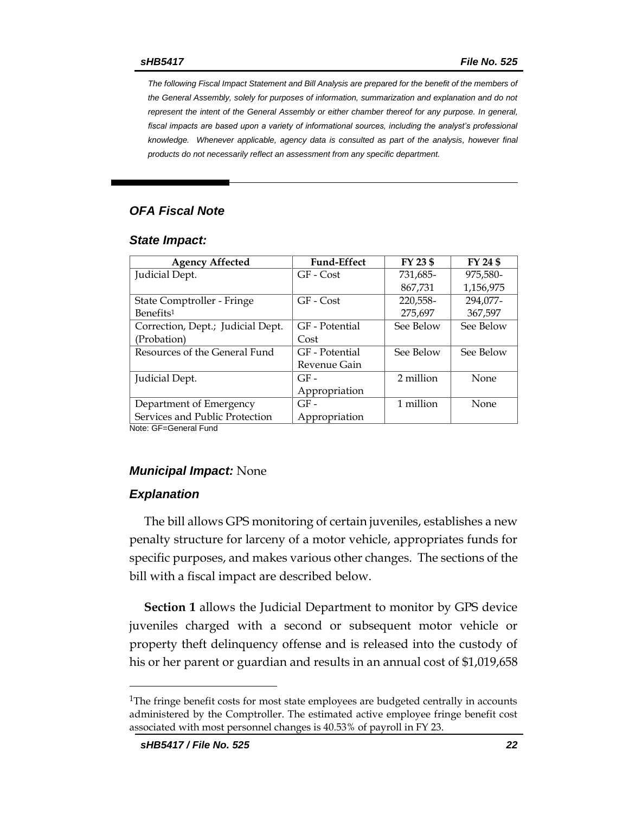*The following Fiscal Impact Statement and Bill Analysis are prepared for the benefit of the members of the General Assembly, solely for purposes of information, summarization and explanation and do not represent the intent of the General Assembly or either chamber thereof for any purpose. In general,*  fiscal impacts are based upon a variety of informational sources, including the analyst's professional *knowledge. Whenever applicable, agency data is consulted as part of the analysis, however final products do not necessarily reflect an assessment from any specific department.*

#### *OFA Fiscal Note*

#### *State Impact:*

| <b>Agency Affected</b>            | <b>Fund-Effect</b> | FY 23 \$  | FY 24 \$  |
|-----------------------------------|--------------------|-----------|-----------|
| Judicial Dept.                    | GF - Cost          | 731,685-  | 975.580-  |
|                                   |                    | 867,731   | 1,156,975 |
| State Comptroller - Fringe        | GF - Cost          | 220,558-  | 294,077-  |
| Benefits <sup>1</sup>             |                    | 275,697   | 367,597   |
| Correction, Dept.; Judicial Dept. | GF - Potential     | See Below | See Below |
| (Probation)                       | Cost               |           |           |
| Resources of the General Fund     | GF - Potential     | See Below | See Below |
|                                   | Revenue Gain       |           |           |
| Judicial Dept.                    | $GF-$              | 2 million | None      |
|                                   | Appropriation      |           |           |
| Department of Emergency           | $GF-$              | 1 million | None      |
| Services and Public Protection    | Appropriation      |           |           |

Note: GF=General Fund

#### *Municipal Impact:* None

#### *Explanation*

The bill allows GPS monitoring of certain juveniles, establishes a new penalty structure for larceny of a motor vehicle, appropriates funds for specific purposes, and makes various other changes. The sections of the bill with a fiscal impact are described below.

**Section 1** allows the Judicial Department to monitor by GPS device juveniles charged with a second or subsequent motor vehicle or property theft delinquency offense and is released into the custody of his or her parent or guardian and results in an annual cost of \$1,019,658

<sup>&</sup>lt;sup>1</sup>The fringe benefit costs for most state employees are budgeted centrally in accounts administered by the Comptroller. The estimated active employee fringe benefit cost associated with most personnel changes is 40.53% of payroll in FY 23.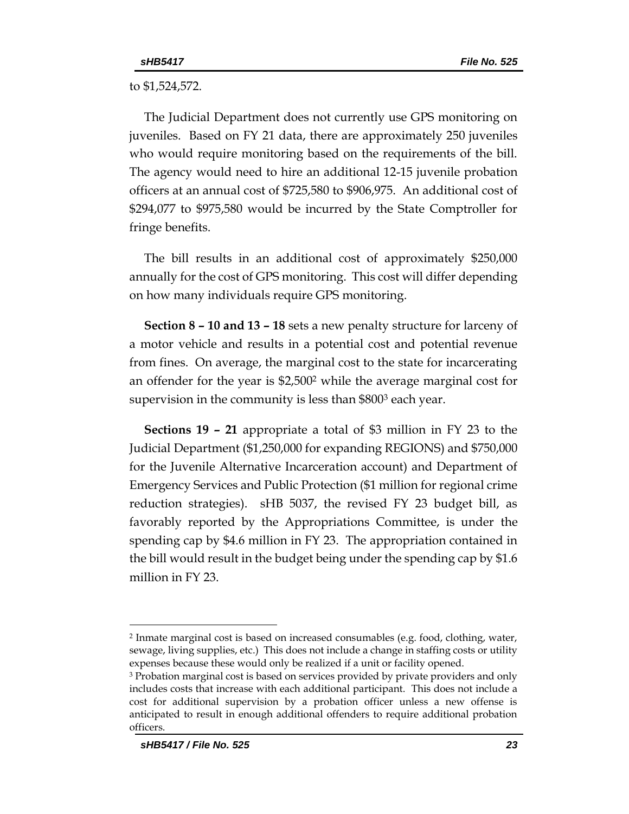to \$1,524,572.

The Judicial Department does not currently use GPS monitoring on juveniles. Based on FY 21 data, there are approximately 250 juveniles who would require monitoring based on the requirements of the bill. The agency would need to hire an additional 12-15 juvenile probation officers at an annual cost of \$725,580 to \$906,975. An additional cost of \$294,077 to \$975,580 would be incurred by the State Comptroller for fringe benefits.

The bill results in an additional cost of approximately \$250,000 annually for the cost of GPS monitoring. This cost will differ depending on how many individuals require GPS monitoring.

**Section 8 – 10 and 13 – 18** sets a new penalty structure for larceny of a motor vehicle and results in a potential cost and potential revenue from fines. On average, the marginal cost to the state for incarcerating an offender for the year is \$2,500<sup>2</sup> while the average marginal cost for supervision in the community is less than \$800<sup>3</sup> each year.

**Sections 19 – 21** appropriate a total of \$3 million in FY 23 to the Judicial Department (\$1,250,000 for expanding REGIONS) and \$750,000 for the Juvenile Alternative Incarceration account) and Department of Emergency Services and Public Protection (\$1 million for regional crime reduction strategies). sHB 5037, the revised FY 23 budget bill, as favorably reported by the Appropriations Committee, is under the spending cap by \$4.6 million in FY 23. The appropriation contained in the bill would result in the budget being under the spending cap by \$1.6 million in FY 23.

<sup>2</sup> Inmate marginal cost is based on increased consumables (e.g. food, clothing, water, sewage, living supplies, etc.) This does not include a change in staffing costs or utility expenses because these would only be realized if a unit or facility opened.

<sup>3</sup> Probation marginal cost is based on services provided by private providers and only includes costs that increase with each additional participant. This does not include a cost for additional supervision by a probation officer unless a new offense is anticipated to result in enough additional offenders to require additional probation officers.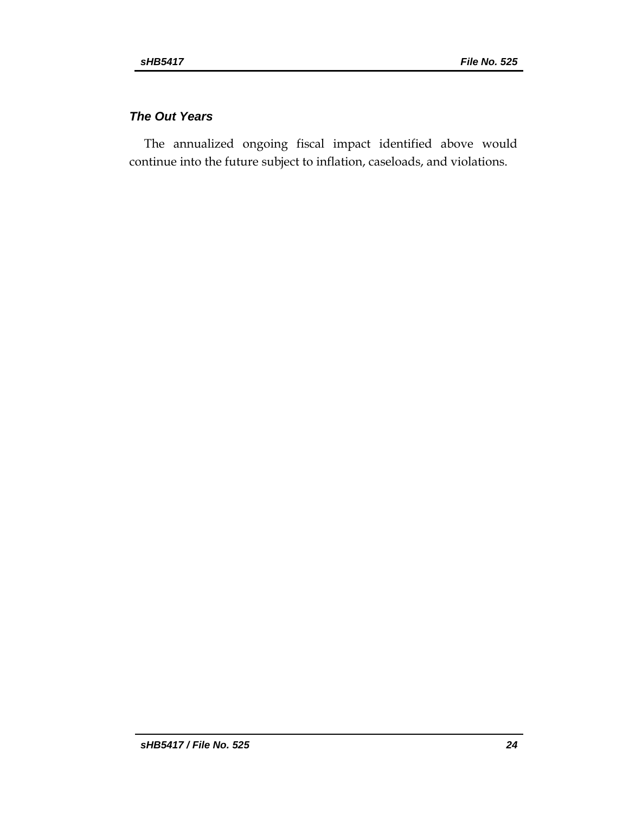# *The Out Years*

The annualized ongoing fiscal impact identified above would continue into the future subject to inflation, caseloads, and violations.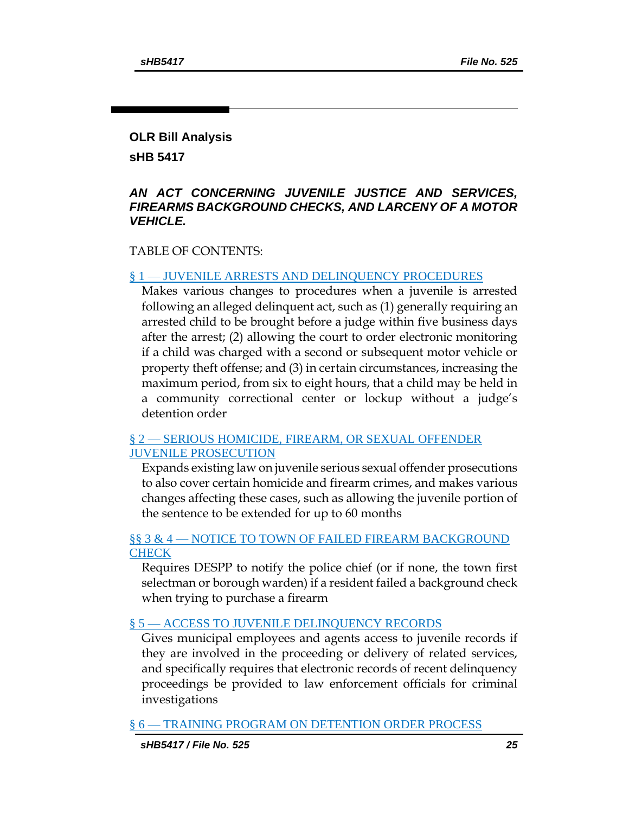#### **OLR Bill Analysis**

**sHB 5417**

#### *AN ACT CONCERNING JUVENILE JUSTICE AND SERVICES, FIREARMS BACKGROUND CHECKS, AND LARCENY OF A MOTOR VEHICLE.*

#### TABLE OF CONTENTS:

#### § 1 — [JUVENILE ARRESTS AND DELINQUENCY PROCEDURES](#page-26-0)

[Makes various changes to procedures when a juvenile is arrested](#page-26-1)  [following an alleged delinquent act, such as \(1\) generally requiring an](#page-26-1)  [arrested child to be brought before a judge within five business days](#page-26-1)  [after the arrest; \(2\) allowing the court to order electronic monitoring](#page-26-1)  [if a child was charged with a second or subsequent motor vehicle or](#page-26-1)  [property theft offense; and \(3\) in certain circumstances, increasing the](#page-26-1)  [maximum period, from six to eight hours, that a child may be held in](#page-26-1)  [a community correctional center or lockup without a judge's](#page-26-1)  [detention order](#page-26-1)

#### § 2 — [SERIOUS HOMICIDE, FIREARM, OR SEXUAL OFFENDER](#page-28-0)  [JUVENILE PROSECUTION](#page-28-0)

[Expands existing law on juvenile serious sexual offender prosecutions](#page-28-1)  [to also cover certain homicide and firearm crimes, and makes various](#page-28-1)  [changes affecting these cases, such as allowing the juvenile portion of](#page-28-1)  [the sentence to be extended for up to 60 months](#page-28-1)

#### §§ 3 & 4 — NOTICE TO TOWN OF FAILED FIREARM BACKGROUND **[CHECK](#page-30-0)**

[Requires DESPP to notify the police chief \(or if none, the town first](#page-30-1)  [selectman or borough warden\) if a resident failed a background check](#page-30-1)  [when trying to purchase a firearm](#page-30-1)

#### § 5 — [ACCESS TO JUVENILE DELINQUENCY RECORDS](#page-31-0)

[Gives municipal employees and agents access to juvenile records if](#page-31-1)  [they are involved in the proceeding or delivery of related services,](#page-31-1)  [and specifically requires that electronic records of recent delinquency](#page-31-1)  proceedings be provided to [law enforcement officials for criminal](#page-31-1)  [investigations](#page-31-1)

§ 6 — [TRAINING PROGRAM ON DETENTION ORDER PROCESS](#page-31-2)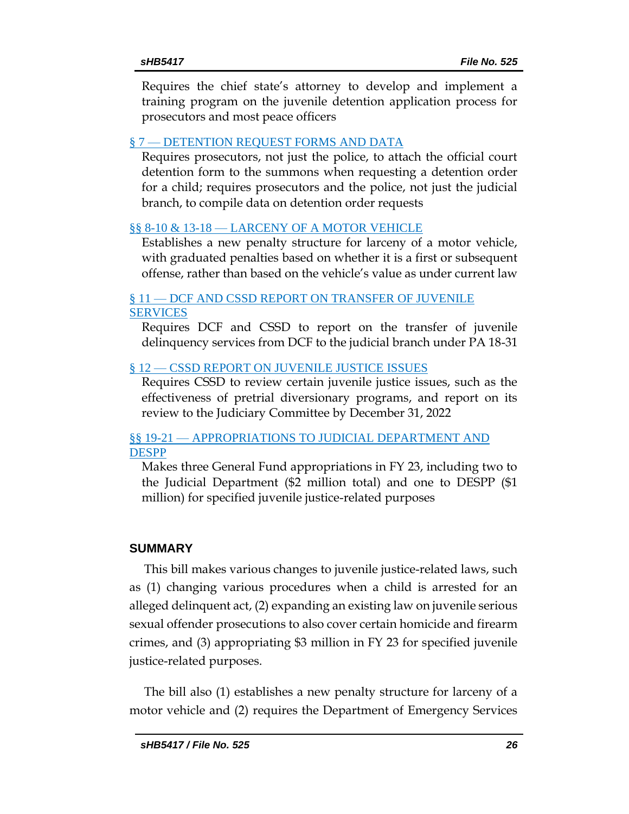Require[s the chief state's attorney to develop and implement a](#page-31-3)  [training program on the juvenile detention application process for](#page-31-3)  [prosecutors and most peace officers](#page-31-3)

### § 7 — [DETENTION REQUEST FORMS AND DATA](#page-32-0)

[Requires prosecutors, not just the police, to attach the official court](#page-32-1)  [detention form to the summons when requesting a detention order](#page-32-1)  [for a child; requires prosecutors and the police, not just the judicial](#page-32-1)  [branch, to compile data on detention order requests](#page-32-1)

# §§ 8-10 & 13-18 — [LARCENY OF A MOTOR VEHICLE](#page-32-2)

[Establishes a new penalty structure for larceny of a motor vehicle,](#page-32-3)  with graduated penalties [based on whether it is a first or subsequent](#page-32-3)  [offense, rather than based on the vehicle's value as under current law](#page-32-3)

#### § 11 — [DCF AND CSSD REPORT ON TRANSFER OF JUVENILE](#page-33-0)  [SERVICES](#page-33-0)

[Requires DCF and CSSD to report on the transfer of juvenile](#page-33-1)  [delinquency services from DCF to the judicial branch under PA 18-31](#page-33-1)

# § 12 — [CSSD REPORT ON JUVENILE JUSTICE](#page-34-0) ISSUES

[Requires CSSD to review certain juvenile justice issues, such as the](#page-34-1)  [effectiveness of pretrial diversionary programs, and report on its](#page-34-1)  [review to the Judiciary Committee by December 31, 2022](#page-34-1)

#### §§ 19-21 — [APPROPRIATIONS TO JUDICIAL DEPARTMENT AND](#page-34-2)  [DESPP](#page-34-2)

[Makes three General Fund appropriations in FY 23, including two to](#page-34-3)  [the Judicial Department \(\\$2 million total\) and one to DESPP \(\\$1](#page-34-3)  [million\) for specified juvenile justice-related purposes](#page-34-3)

# **SUMMARY**

This bill makes various changes to juvenile justice-related laws, such as (1) changing various procedures when a child is arrested for an alleged delinquent act, (2) expanding an existing law on juvenile serious sexual offender prosecutions to also cover certain homicide and firearm crimes, and (3) appropriating \$3 million in FY 23 for specified juvenile justice-related purposes.

The bill also (1) establishes a new penalty structure for larceny of a motor vehicle and (2) requires the Department of Emergency Services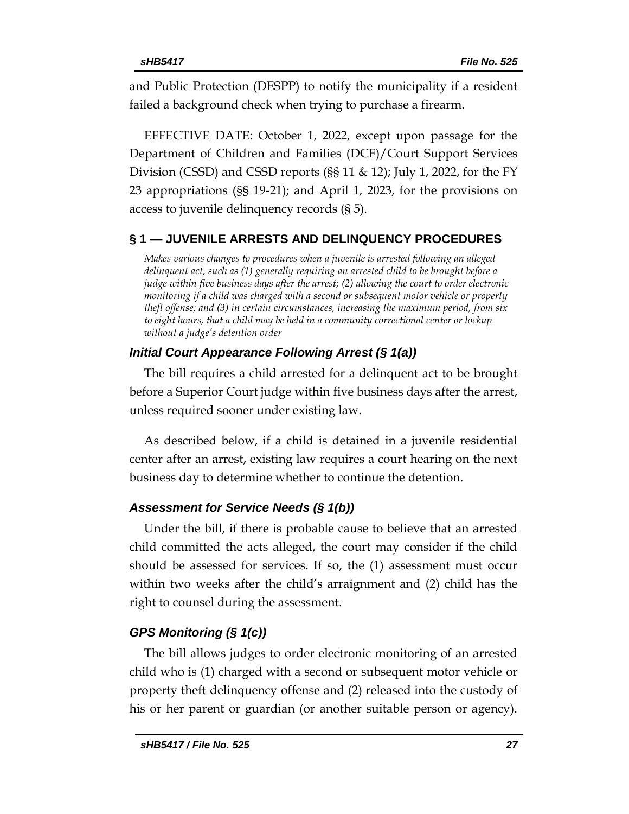and Public Protection (DESPP) to notify the municipality if a resident failed a background check when trying to purchase a firearm.

EFFECTIVE DATE: October 1, 2022, except upon passage for the Department of Children and Families (DCF)/Court Support Services Division (CSSD) and CSSD reports (§§ 11 & 12); July 1, 2022, for the FY 23 appropriations (§§ 19-21); and April 1, 2023, for the provisions on access to juvenile delinquency records (§ 5).

#### <span id="page-26-0"></span>**§ 1 — JUVENILE ARRESTS AND DELINQUENCY PROCEDURES**

<span id="page-26-1"></span>*Makes various changes to procedures when a juvenile is arrested following an alleged delinquent act, such as (1) generally requiring an arrested child to be brought before a judge within five business days after the arrest; (2) allowing the court to order electronic monitoring if a child was charged with a second or subsequent motor vehicle or property theft offense; and (3) in certain circumstances, increasing the maximum period, from six to eight hours, that a child may be held in a community correctional center or lockup without a judge's detention order*

#### *Initial Court Appearance Following Arrest (§ 1(a))*

The bill requires a child arrested for a delinquent act to be brought before a Superior Court judge within five business days after the arrest, unless required sooner under existing law.

As described below, if a child is detained in a juvenile residential center after an arrest, existing law requires a court hearing on the next business day to determine whether to continue the detention.

# *Assessment for Service Needs (§ 1(b))*

Under the bill, if there is probable cause to believe that an arrested child committed the acts alleged, the court may consider if the child should be assessed for services. If so, the (1) assessment must occur within two weeks after the child's arraignment and (2) child has the right to counsel during the assessment.

# *GPS Monitoring (§ 1(c))*

The bill allows judges to order electronic monitoring of an arrested child who is (1) charged with a second or subsequent motor vehicle or property theft delinquency offense and (2) released into the custody of his or her parent or guardian (or another suitable person or agency).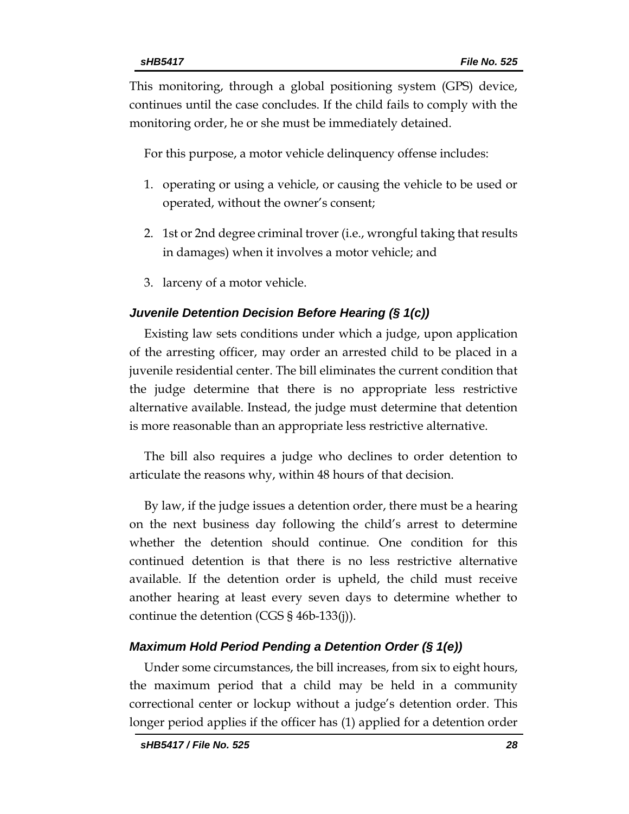This monitoring, through a global positioning system (GPS) device, continues until the case concludes. If the child fails to comply with the monitoring order, he or she must be immediately detained.

For this purpose, a motor vehicle delinquency offense includes:

- 1. operating or using a vehicle, or causing the vehicle to be used or operated, without the owner's consent;
- 2. 1st or 2nd degree criminal trover (i.e., wrongful taking that results in damages) when it involves a motor vehicle; and
- 3. larceny of a motor vehicle.

#### *Juvenile Detention Decision Before Hearing (§ 1(c))*

Existing law sets conditions under which a judge, upon application of the arresting officer, may order an arrested child to be placed in a juvenile residential center. The bill eliminates the current condition that the judge determine that there is no appropriate less restrictive alternative available. Instead, the judge must determine that detention is more reasonable than an appropriate less restrictive alternative.

The bill also requires a judge who declines to order detention to articulate the reasons why, within 48 hours of that decision.

By law, if the judge issues a detention order, there must be a hearing on the next business day following the child's arrest to determine whether the detention should continue. One condition for this continued detention is that there is no less restrictive alternative available. If the detention order is upheld, the child must receive another hearing at least every seven days to determine whether to continue the detention (CGS § 46b-133(j)).

#### *Maximum Hold Period Pending a Detention Order (§ 1(e))*

Under some circumstances, the bill increases, from six to eight hours, the maximum period that a child may be held in a community correctional center or lockup without a judge's detention order. This longer period applies if the officer has (1) applied for a detention order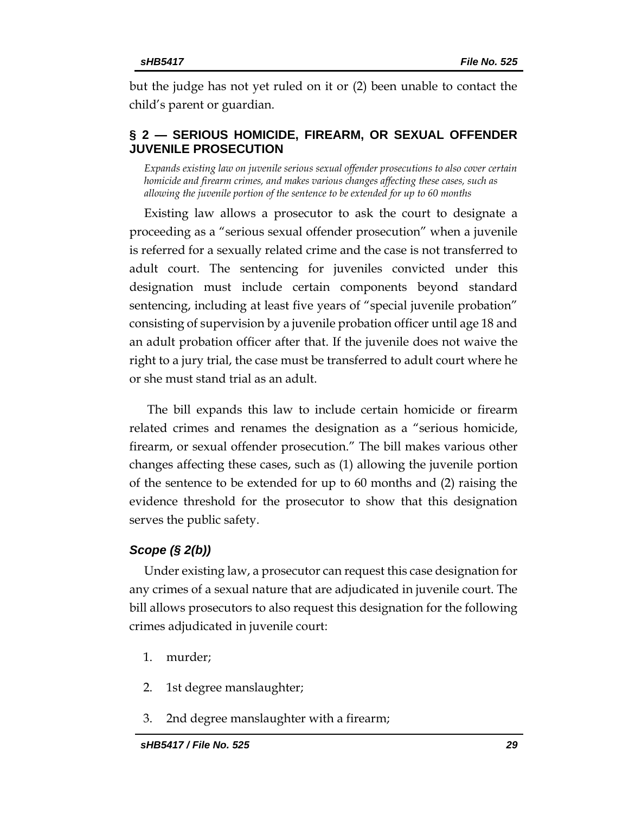but the judge has not yet ruled on it or (2) been unable to contact the child's parent or guardian.

### <span id="page-28-0"></span>**§ 2 — SERIOUS HOMICIDE, FIREARM, OR SEXUAL OFFENDER JUVENILE PROSECUTION**

<span id="page-28-1"></span>*Expands existing law on juvenile serious sexual offender prosecutions to also cover certain homicide and firearm crimes, and makes various changes affecting these cases, such as allowing the juvenile portion of the sentence to be extended for up to 60 months*

Existing law allows a prosecutor to ask the court to designate a proceeding as a "serious sexual offender prosecution" when a juvenile is referred for a sexually related crime and the case is not transferred to adult court. The sentencing for juveniles convicted under this designation must include certain components beyond standard sentencing, including at least five years of "special juvenile probation" consisting of supervision by a juvenile probation officer until age 18 and an adult probation officer after that. If the juvenile does not waive the right to a jury trial, the case must be transferred to adult court where he or she must stand trial as an adult.

The bill expands this law to include certain homicide or firearm related crimes and renames the designation as a "serious homicide, firearm, or sexual offender prosecution." The bill makes various other changes affecting these cases, such as (1) allowing the juvenile portion of the sentence to be extended for up to 60 months and (2) raising the evidence threshold for the prosecutor to show that this designation serves the public safety.

#### *Scope (§ 2(b))*

Under existing law, a prosecutor can request this case designation for any crimes of a sexual nature that are adjudicated in juvenile court. The bill allows prosecutors to also request this designation for the following crimes adjudicated in juvenile court:

- 1. murder;
- 2. 1st degree manslaughter;
- 3. 2nd degree manslaughter with a firearm;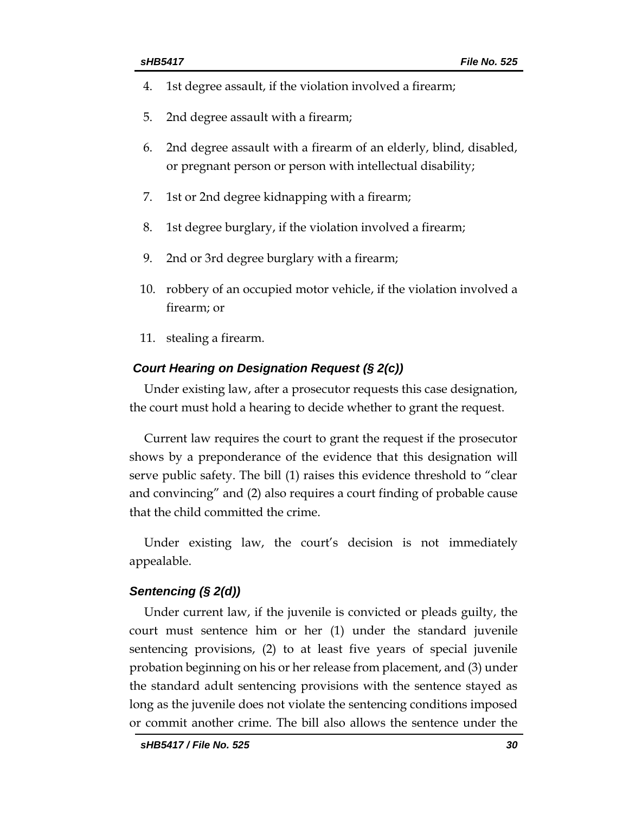- 4. 1st degree assault, if the violation involved a firearm;
- 5. 2nd degree assault with a firearm;
- 6. 2nd degree assault with a firearm of an elderly, blind, disabled, or pregnant person or person with intellectual disability;
- 7. 1st or 2nd degree kidnapping with a firearm;
- 8. 1st degree burglary, if the violation involved a firearm;
- 9. 2nd or 3rd degree burglary with a firearm;
- 10. robbery of an occupied motor vehicle, if the violation involved a firearm; or
- 11. stealing a firearm.

#### *Court Hearing on Designation Request (§ 2(c))*

Under existing law, after a prosecutor requests this case designation, the court must hold a hearing to decide whether to grant the request.

Current law requires the court to grant the request if the prosecutor shows by a preponderance of the evidence that this designation will serve public safety. The bill (1) raises this evidence threshold to "clear and convincing" and (2) also requires a court finding of probable cause that the child committed the crime.

Under existing law, the court's decision is not immediately appealable.

#### *Sentencing (§ 2(d))*

Under current law, if the juvenile is convicted or pleads guilty, the court must sentence him or her (1) under the standard juvenile sentencing provisions, (2) to at least five years of special juvenile probation beginning on his or her release from placement, and (3) under the standard adult sentencing provisions with the sentence stayed as long as the juvenile does not violate the sentencing conditions imposed or commit another crime. The bill also allows the sentence under the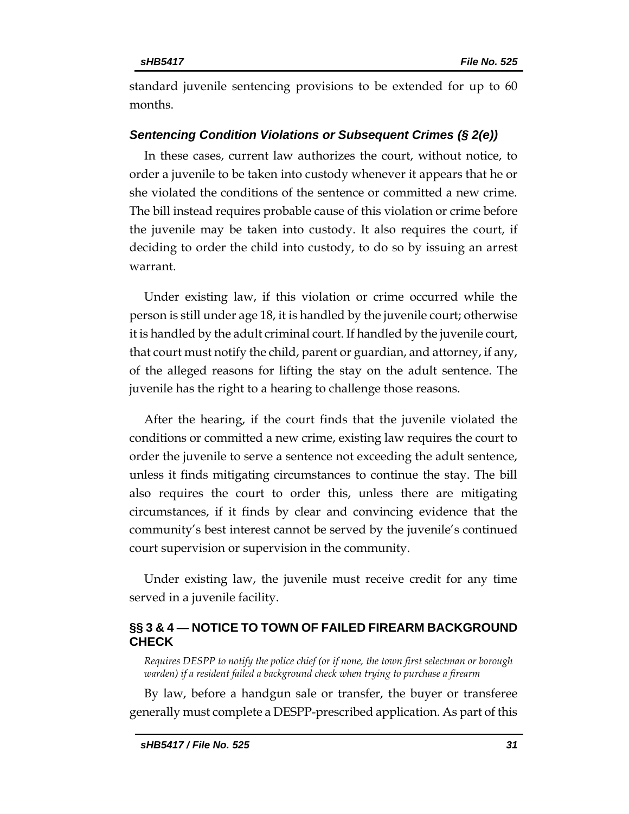standard juvenile sentencing provisions to be extended for up to 60 months.

#### *Sentencing Condition Violations or Subsequent Crimes (§ 2(e))*

In these cases, current law authorizes the court, without notice, to order a juvenile to be taken into custody whenever it appears that he or she violated the conditions of the sentence or committed a new crime. The bill instead requires probable cause of this violation or crime before the juvenile may be taken into custody. It also requires the court, if deciding to order the child into custody, to do so by issuing an arrest warrant.

Under existing law, if this violation or crime occurred while the person is still under age 18, it is handled by the juvenile court; otherwise it is handled by the adult criminal court. If handled by the juvenile court, that court must notify the child, parent or guardian, and attorney, if any, of the alleged reasons for lifting the stay on the adult sentence. The juvenile has the right to a hearing to challenge those reasons.

After the hearing, if the court finds that the juvenile violated the conditions or committed a new crime, existing law requires the court to order the juvenile to serve a sentence not exceeding the adult sentence, unless it finds mitigating circumstances to continue the stay. The bill also requires the court to order this, unless there are mitigating circumstances, if it finds by clear and convincing evidence that the community's best interest cannot be served by the juvenile's continued court supervision or supervision in the community.

Under existing law, the juvenile must receive credit for any time served in a juvenile facility.

#### <span id="page-30-0"></span>**§§ 3 & 4 — NOTICE TO TOWN OF FAILED FIREARM BACKGROUND CHECK**

<span id="page-30-1"></span>*Requires DESPP to notify the police chief (or if none, the town first selectman or borough warden) if a resident failed a background check when trying to purchase a firearm*

By law, before a handgun sale or transfer, the buyer or transferee generally must complete a DESPP-prescribed application. As part of this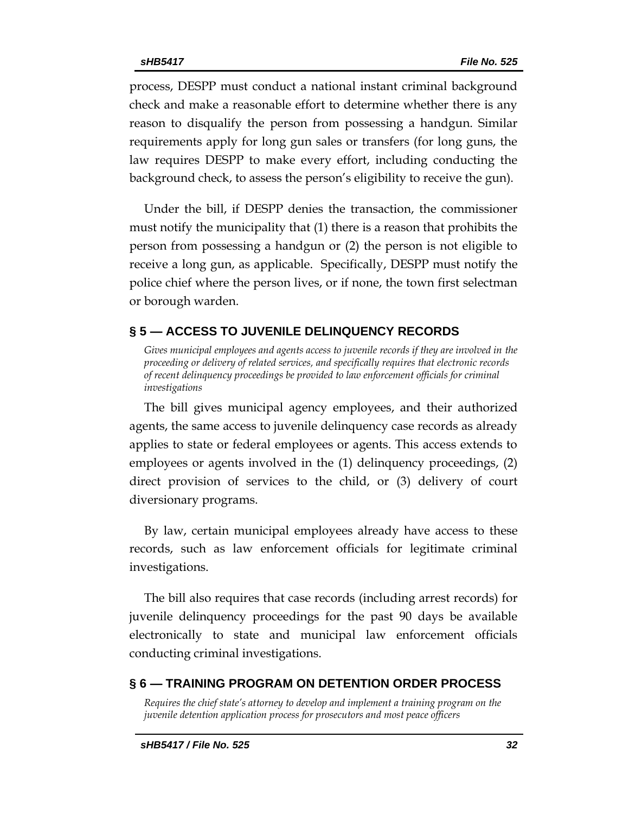process, DESPP must conduct a national instant criminal background check and make a reasonable effort to determine whether there is any reason to disqualify the person from possessing a handgun. Similar requirements apply for long gun sales or transfers (for long guns, the law requires DESPP to make every effort, including conducting the background check, to assess the person's eligibility to receive the gun).

Under the bill, if DESPP denies the transaction, the commissioner must notify the municipality that (1) there is a reason that prohibits the person from possessing a handgun or (2) the person is not eligible to receive a long gun, as applicable. Specifically, DESPP must notify the police chief where the person lives, or if none, the town first selectman or borough warden.

#### <span id="page-31-0"></span>**§ 5 — ACCESS TO JUVENILE DELINQUENCY RECORDS**

<span id="page-31-1"></span>*Gives municipal employees and agents access to juvenile records if they are involved in the proceeding or delivery of related services, and specifically requires that electronic records of recent delinquency proceedings be provided to law enforcement officials for criminal investigations*

The bill gives municipal agency employees, and their authorized agents, the same access to juvenile delinquency case records as already applies to state or federal employees or agents. This access extends to employees or agents involved in the (1) delinquency proceedings, (2) direct provision of services to the child, or (3) delivery of court diversionary programs.

By law, certain municipal employees already have access to these records, such as law enforcement officials for legitimate criminal investigations.

The bill also requires that case records (including arrest records) for juvenile delinquency proceedings for the past 90 days be available electronically to state and municipal law enforcement officials conducting criminal investigations.

#### <span id="page-31-2"></span>**§ 6 — TRAINING PROGRAM ON DETENTION ORDER PROCESS**

<span id="page-31-3"></span>*Requires the chief state's attorney to develop and implement a training program on the juvenile detention application process for prosecutors and most peace officers*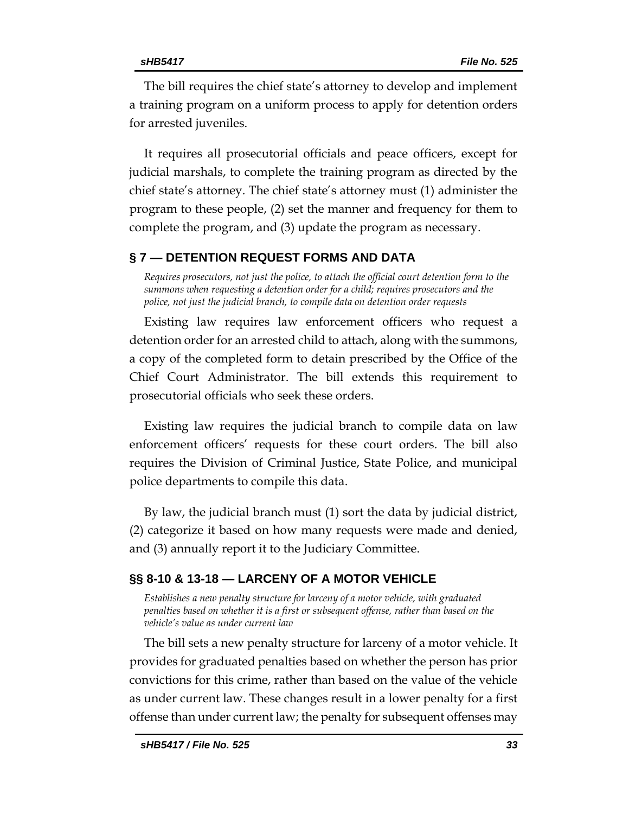The bill requires the chief state's attorney to develop and implement a training program on a uniform process to apply for detention orders for arrested juveniles.

It requires all prosecutorial officials and peace officers, except for judicial marshals, to complete the training program as directed by the chief state's attorney. The chief state's attorney must (1) administer the program to these people, (2) set the manner and frequency for them to complete the program, and (3) update the program as necessary.

#### <span id="page-32-0"></span>**§ 7 — DETENTION REQUEST FORMS AND DATA**

<span id="page-32-1"></span>*Requires prosecutors, not just the police, to attach the official court detention form to the summons when requesting a detention order for a child; requires prosecutors and the police, not just the judicial branch, to compile data on detention order requests*

Existing law requires law enforcement officers who request a detention order for an arrested child to attach, along with the summons, a copy of the completed form to detain prescribed by the Office of the Chief Court Administrator. The bill extends this requirement to prosecutorial officials who seek these orders.

Existing law requires the judicial branch to compile data on law enforcement officers' requests for these court orders. The bill also requires the Division of Criminal Justice, State Police, and municipal police departments to compile this data.

By law, the judicial branch must (1) sort the data by judicial district, (2) categorize it based on how many requests were made and denied, and (3) annually report it to the Judiciary Committee.

#### <span id="page-32-2"></span>**§§ 8-10 & 13-18 — LARCENY OF A MOTOR VEHICLE**

<span id="page-32-3"></span>*Establishes a new penalty structure for larceny of a motor vehicle, with graduated penalties based on whether it is a first or subsequent offense, rather than based on the vehicle's value as under current law*

The bill sets a new penalty structure for larceny of a motor vehicle. It provides for graduated penalties based on whether the person has prior convictions for this crime, rather than based on the value of the vehicle as under current law. These changes result in a lower penalty for a first offense than under current law; the penalty for subsequent offenses may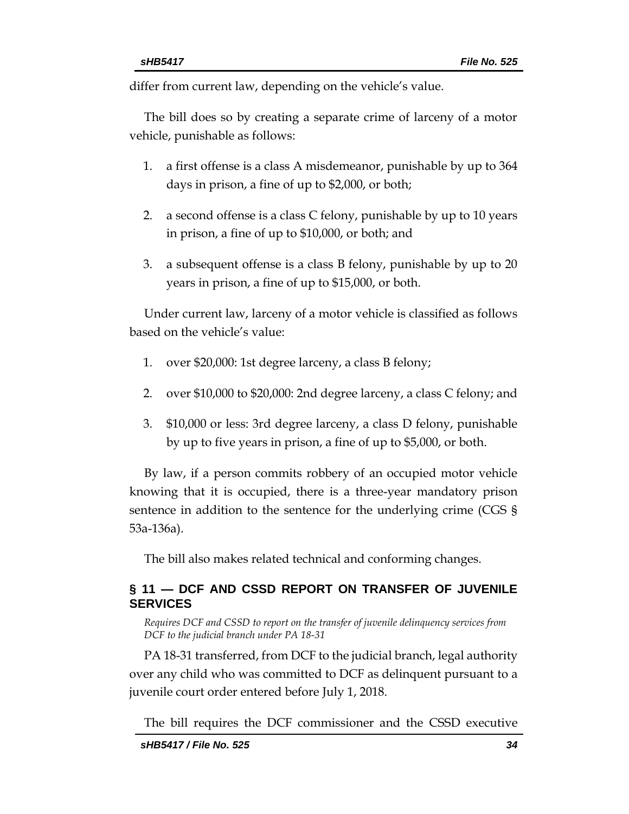differ from current law, depending on the vehicle's value.

The bill does so by creating a separate crime of larceny of a motor vehicle, punishable as follows:

- 1. a first offense is a class A misdemeanor, punishable by up to 364 days in prison, a fine of up to \$2,000, or both;
- 2. a second offense is a class C felony, punishable by up to 10 years in prison, a fine of up to \$10,000, or both; and
- 3. a subsequent offense is a class B felony, punishable by up to 20 years in prison, a fine of up to \$15,000, or both.

Under current law, larceny of a motor vehicle is classified as follows based on the vehicle's value:

- 1. over \$20,000: 1st degree larceny, a class B felony;
- 2. over \$10,000 to \$20,000: 2nd degree larceny, a class C felony; and
- 3. \$10,000 or less: 3rd degree larceny, a class D felony, punishable by up to five years in prison, a fine of up to \$5,000, or both.

By law, if a person commits robbery of an occupied motor vehicle knowing that it is occupied, there is a three-year mandatory prison sentence in addition to the sentence for the underlying crime (CGS § 53a-136a).

The bill also makes related technical and conforming changes.

# <span id="page-33-0"></span>**§ 11 — DCF AND CSSD REPORT ON TRANSFER OF JUVENILE SERVICES**

<span id="page-33-1"></span>*Requires DCF and CSSD to report on the transfer of juvenile delinquency services from DCF to the judicial branch under PA 18-31*

PA 18-31 transferred, from DCF to the judicial branch, legal authority over any child who was committed to DCF as delinquent pursuant to a juvenile court order entered before July 1, 2018.

The bill requires the DCF commissioner and the CSSD executive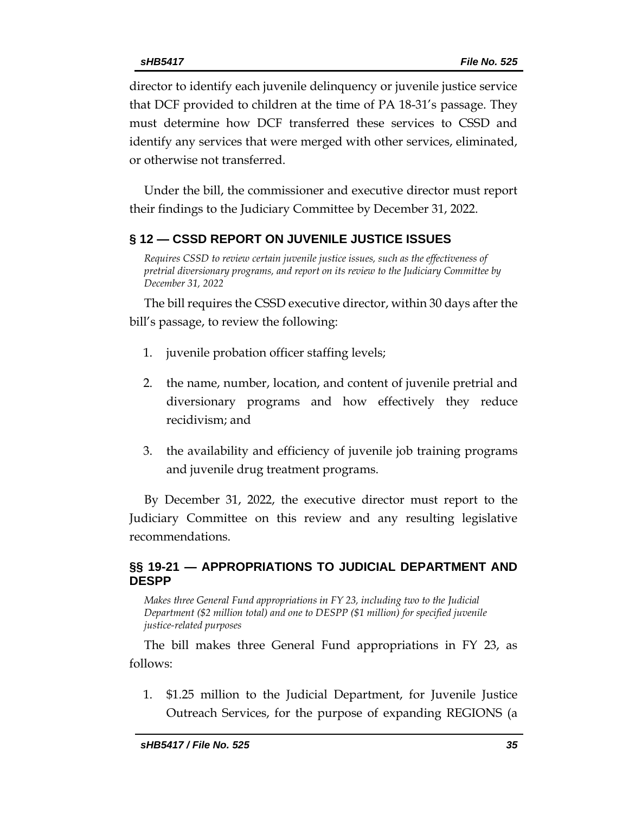director to identify each juvenile delinquency or juvenile justice service that DCF provided to children at the time of PA 18-31's passage. They must determine how DCF transferred these services to CSSD and identify any services that were merged with other services, eliminated, or otherwise not transferred.

Under the bill, the commissioner and executive director must report their findings to the Judiciary Committee by December 31, 2022.

#### <span id="page-34-0"></span>**§ 12 — CSSD REPORT ON JUVENILE JUSTICE ISSUES**

<span id="page-34-1"></span>*Requires CSSD to review certain juvenile justice issues, such as the effectiveness of pretrial diversionary programs, and report on its review to the Judiciary Committee by December 31, 2022*

The bill requires the CSSD executive director, within 30 days after the bill's passage, to review the following:

- 1. juvenile probation officer staffing levels;
- 2. the name, number, location, and content of juvenile pretrial and diversionary programs and how effectively they reduce recidivism; and
- 3. the availability and efficiency of juvenile job training programs and juvenile drug treatment programs.

By December 31, 2022, the executive director must report to the Judiciary Committee on this review and any resulting legislative recommendations.

#### <span id="page-34-2"></span>**§§ 19-21 — APPROPRIATIONS TO JUDICIAL DEPARTMENT AND DESPP**

<span id="page-34-3"></span>*Makes three General Fund appropriations in FY 23, including two to the Judicial Department (\$2 million total) and one to DESPP (\$1 million) for specified juvenile justice-related purposes*

The bill makes three General Fund appropriations in FY 23, as follows:

1. \$1.25 million to the Judicial Department, for Juvenile Justice Outreach Services, for the purpose of expanding REGIONS (a